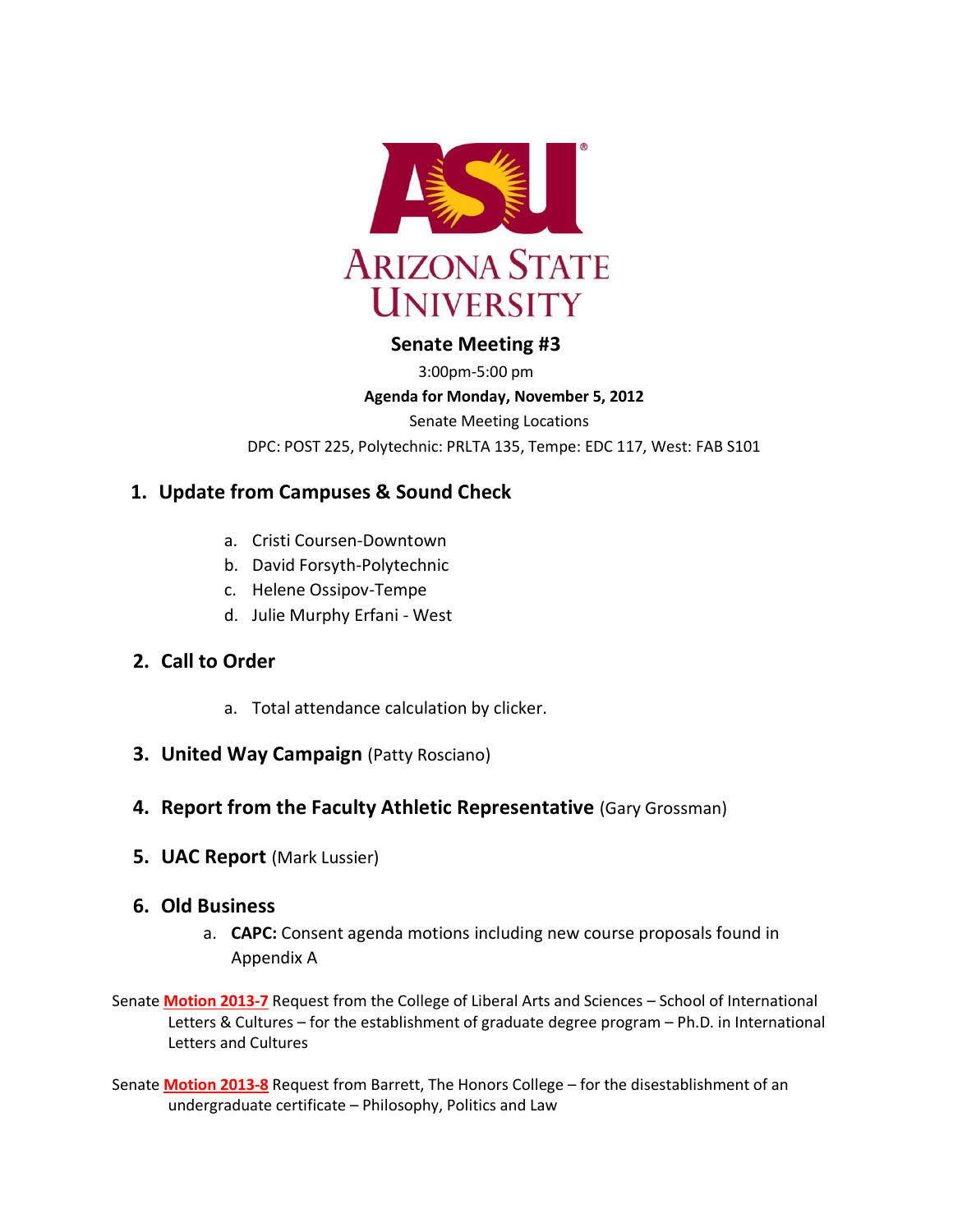

# **Senate Meeting #3**

3:00pm-5:00 pm

### **Agenda for Monday, November 5, 2012**

Senate Meeting Locations

DPC: POST 225, Polytechnic: PRLTA 135, Tempe: EDC 117, West: FAB S101

# **1. Update from Campuses & Sound Check**

- a. Cristi Coursen-Downtown
- b. David Forsyth-Polytechnic
- c. Helene Ossipov-Tempe
- d. Julie Murphy Erfani West

# **2. Call to Order**

- a. Total attendance calculation by clicker.
- **3. United Way Campaign (Patty Rosciano)**

# **4. Report from the Faculty Athletic Representative (Gary Grossman)**

**5. UAC Report** (Mark Lussier)

# **6. Old Business**

- a. **CAPC:** Consent agenda motions including new course proposals found in Appendix A
- Senate **[Motion 2013-7](http://usenate.asu.edu/node/4433)** Request from the College of Liberal Arts and Sciences School of International Letters & Cultures – for the establishment of graduate degree program – Ph.D. in International Letters and Cultures
- Senate **[Motion 2013-8](http://usenate.asu.edu/node/4434)** Request from Barrett, The Honors College for the disestablishment of an undergraduate certificate – Philosophy, Politics and Law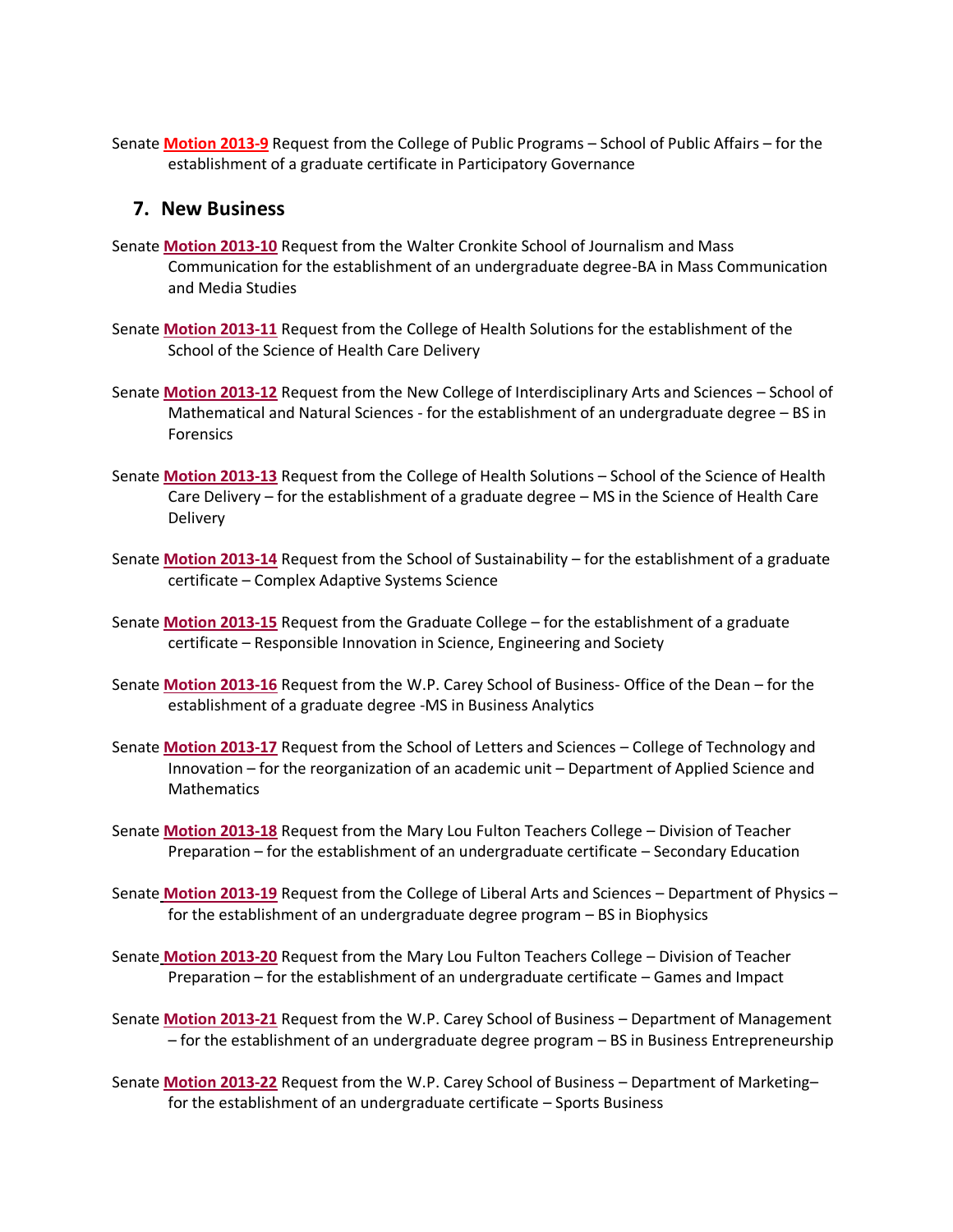Senate **[Motion 2013-9](http://usenate.asu.edu/node/4435)** Request from the College of Public Programs – School of Public Affairs – for the establishment of a graduate certificate in Participatory Governance

### **7. New Business**

- Senate **[Motion 2013-10](http://usenate.asu.edu/node/4439)** Request from the Walter Cronkite School of Journalism and Mass Communication for the establishment of an undergraduate degree-BA in Mass Communication and Media Studies
- Senate **[Motion 2013-11](http://usenate.asu.edu/node/4440)** Request from the College of Health Solutions for the establishment of the School of the Science of Health Care Delivery
- Senate **[Motion 2013-12](http://usenate.asu.edu/node/4441)** Request from the New College of Interdisciplinary Arts and Sciences School of Mathematical and Natural Sciences - for the establishment of an undergraduate degree – BS in Forensics
- Senate **[Motion 2013-13](http://usenate.asu.edu/node/4442)** Request from the College of Health Solutions School of the Science of Health Care Delivery – for the establishment of a graduate degree – MS in the Science of Health Care **Delivery**
- Senate **[Motion 2013-14](http://usenate.asu.edu/node/4443)** Request from the School of Sustainability for the establishment of a graduate certificate – Complex Adaptive Systems Science
- Senate **[Motion 2013-15](http://usenate.asu.edu/node/4444)** Request from the Graduate College for the establishment of a graduate certificate – Responsible Innovation in Science, Engineering and Society
- Senate **[Motion 2013-16](http://usenate.asu.edu/node/4445)** Request from the W.P. Carey School of Business- Office of the Dean for the establishment of a graduate degree -MS in Business Analytics
- Senate **[Motion 2013-17](http://usenate.asu.edu/node/4446)** Request from the School of Letters and Sciences College of Technology and Innovation – for the reorganization of an academic unit – Department of Applied Science and **Mathematics**
- Senate **[Motion 2013-18](http://usenate.asu.edu/node/4447)** Request from the Mary Lou Fulton Teachers College Division of Teacher Preparation – for the establishment of an undergraduate certificate – Secondary Education
- Senate **[Motion 2013-19](http://usenate.asu.edu/node/4448)** Request from the College of Liberal Arts and Sciences Department of Physics for the establishment of an undergraduate degree program – BS in Biophysics
- Senate **[Motion 2013-20](http://usenate.asu.edu/node/4449)** Request from the Mary Lou Fulton Teachers College Division of Teacher Preparation – for the establishment of an undergraduate certificate – Games and Impact
- Senate **[Motion 2013-21](http://usenate.asu.edu/node/4450)** Request from the W.P. Carey School of Business Department of Management – for the establishment of an undergraduate degree program – BS in Business Entrepreneurship
- Senate **[Motion 2013-22](http://usenate.asu.edu/node/4453)** Request from the W.P. Carey School of Business Department of Marketing– for the establishment of an undergraduate certificate – Sports Business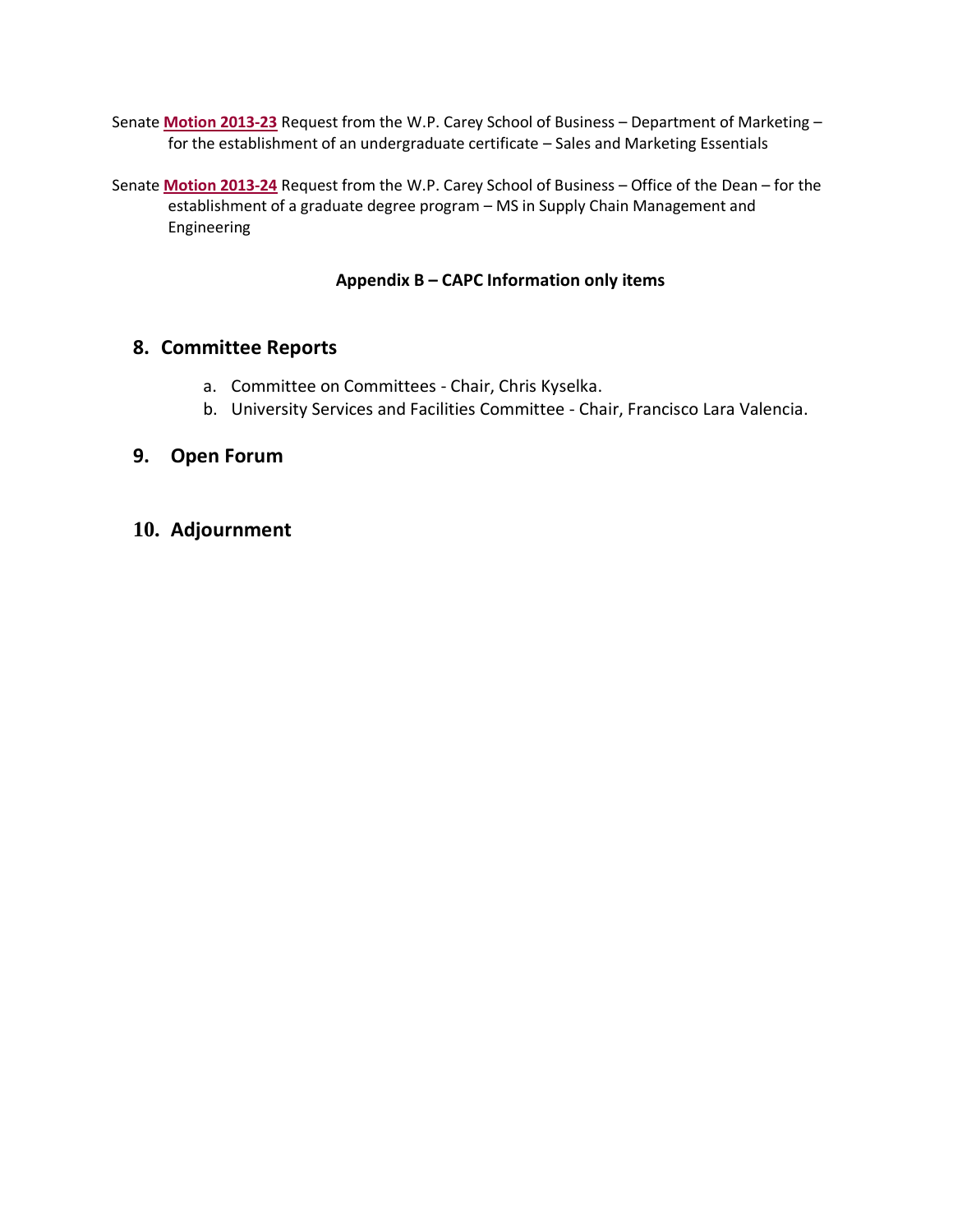- Senate **[Motion 2013-23](http://usenate.asu.edu/node/4454)** Request from the W.P. Carey School of Business Department of Marketing for the establishment of an undergraduate certificate – Sales and Marketing Essentials
- Senate **[Motion 2013-24](http://usenate.asu.edu/node/4455)** Request from the W.P. Carey School of Business Office of the Dean for the establishment of a graduate degree program – MS in Supply Chain Management and Engineering

# **Appendix B – CAPC Information only items**

# **8. Committee Reports**

- a. Committee on Committees Chair, Chris Kyselka.
- b. University Services and Facilities Committee Chair, Francisco Lara Valencia.

# **9. Open Forum**

**10. Adjournment**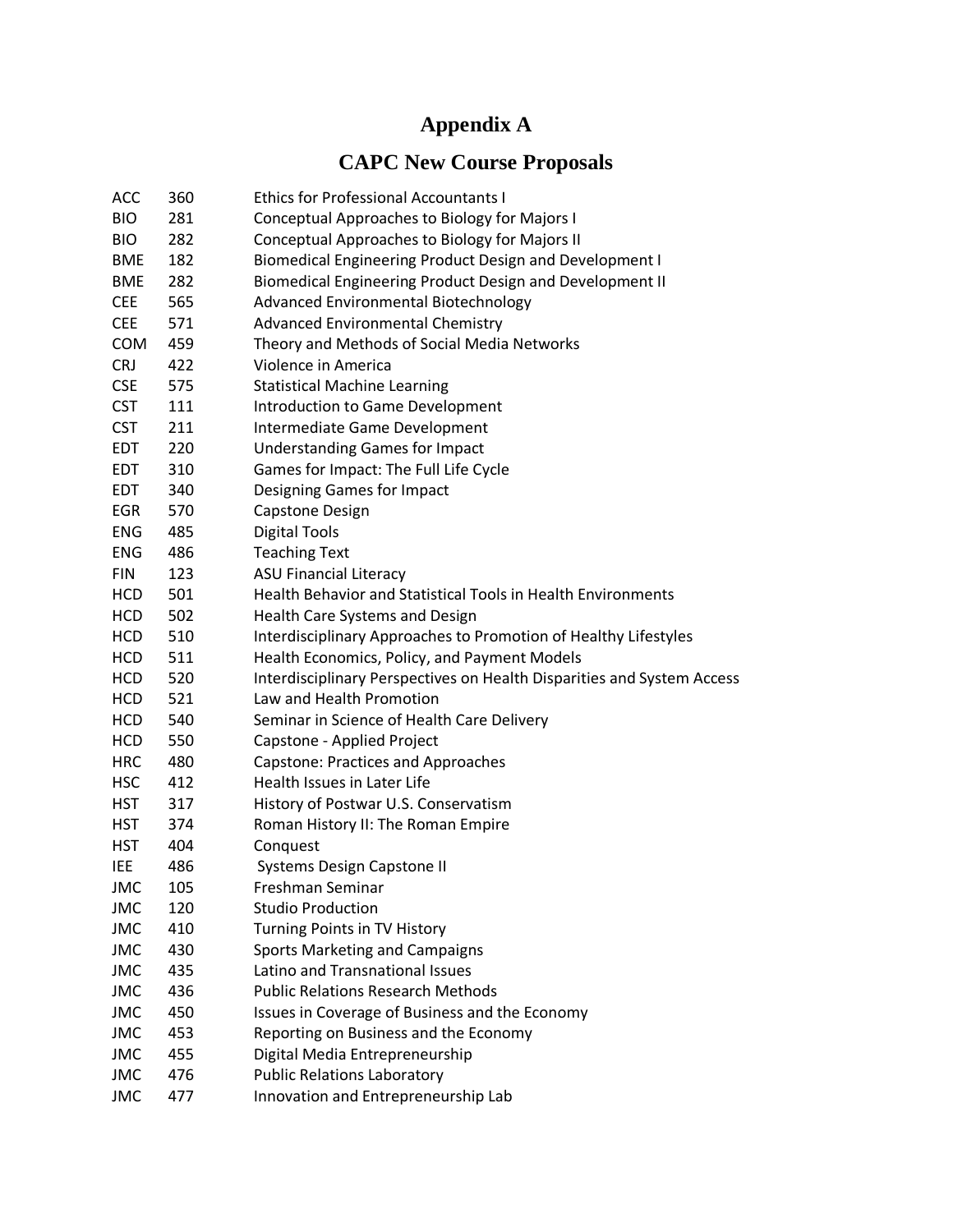# **Appendix A**

# **CAPC New Course Proposals**

| <b>ACC</b> | 360 | <b>Ethics for Professional Accountants I</b>                           |
|------------|-----|------------------------------------------------------------------------|
| <b>BIO</b> | 281 | Conceptual Approaches to Biology for Majors I                          |
| <b>BIO</b> | 282 | Conceptual Approaches to Biology for Majors II                         |
| <b>BME</b> | 182 | Biomedical Engineering Product Design and Development I                |
| <b>BME</b> | 282 | Biomedical Engineering Product Design and Development II               |
| <b>CEE</b> | 565 | Advanced Environmental Biotechnology                                   |
| <b>CEE</b> | 571 | <b>Advanced Environmental Chemistry</b>                                |
| <b>COM</b> | 459 | Theory and Methods of Social Media Networks                            |
| <b>CRJ</b> | 422 | Violence in America                                                    |
| <b>CSE</b> | 575 | <b>Statistical Machine Learning</b>                                    |
| <b>CST</b> | 111 | Introduction to Game Development                                       |
| <b>CST</b> | 211 | Intermediate Game Development                                          |
| <b>EDT</b> | 220 | <b>Understanding Games for Impact</b>                                  |
| EDT        | 310 | Games for Impact: The Full Life Cycle                                  |
| <b>EDT</b> | 340 | Designing Games for Impact                                             |
| <b>EGR</b> | 570 | Capstone Design                                                        |
| <b>ENG</b> | 485 | <b>Digital Tools</b>                                                   |
| <b>ENG</b> | 486 | <b>Teaching Text</b>                                                   |
| <b>FIN</b> | 123 | <b>ASU Financial Literacy</b>                                          |
| <b>HCD</b> | 501 | <b>Health Behavior and Statistical Tools in Health Environments</b>    |
| <b>HCD</b> | 502 | Health Care Systems and Design                                         |
| <b>HCD</b> | 510 | Interdisciplinary Approaches to Promotion of Healthy Lifestyles        |
| <b>HCD</b> | 511 | Health Economics, Policy, and Payment Models                           |
| <b>HCD</b> | 520 | Interdisciplinary Perspectives on Health Disparities and System Access |
| <b>HCD</b> | 521 | Law and Health Promotion                                               |
| <b>HCD</b> | 540 | Seminar in Science of Health Care Delivery                             |
| <b>HCD</b> | 550 | Capstone - Applied Project                                             |
| <b>HRC</b> | 480 | <b>Capstone: Practices and Approaches</b>                              |
| <b>HSC</b> | 412 | Health Issues in Later Life                                            |
| <b>HST</b> | 317 | History of Postwar U.S. Conservatism                                   |
| <b>HST</b> | 374 | Roman History II: The Roman Empire                                     |
| <b>HST</b> | 404 | Conquest                                                               |
| <b>IEE</b> | 486 | <b>Systems Design Capstone II</b>                                      |
| <b>JMC</b> | 105 | Freshman Seminar                                                       |
| <b>JMC</b> | 120 | <b>Studio Production</b>                                               |
| <b>JMC</b> | 410 | Turning Points in TV History                                           |
| <b>JMC</b> | 430 | Sports Marketing and Campaigns                                         |
| <b>JMC</b> | 435 | Latino and Transnational Issues                                        |
| <b>JMC</b> | 436 | <b>Public Relations Research Methods</b>                               |
| <b>JMC</b> | 450 | Issues in Coverage of Business and the Economy                         |
| <b>JMC</b> | 453 | Reporting on Business and the Economy                                  |
| <b>JMC</b> | 455 | Digital Media Entrepreneurship                                         |
| <b>JMC</b> | 476 | <b>Public Relations Laboratory</b>                                     |
| <b>JMC</b> | 477 | Innovation and Entrepreneurship Lab                                    |
|            |     |                                                                        |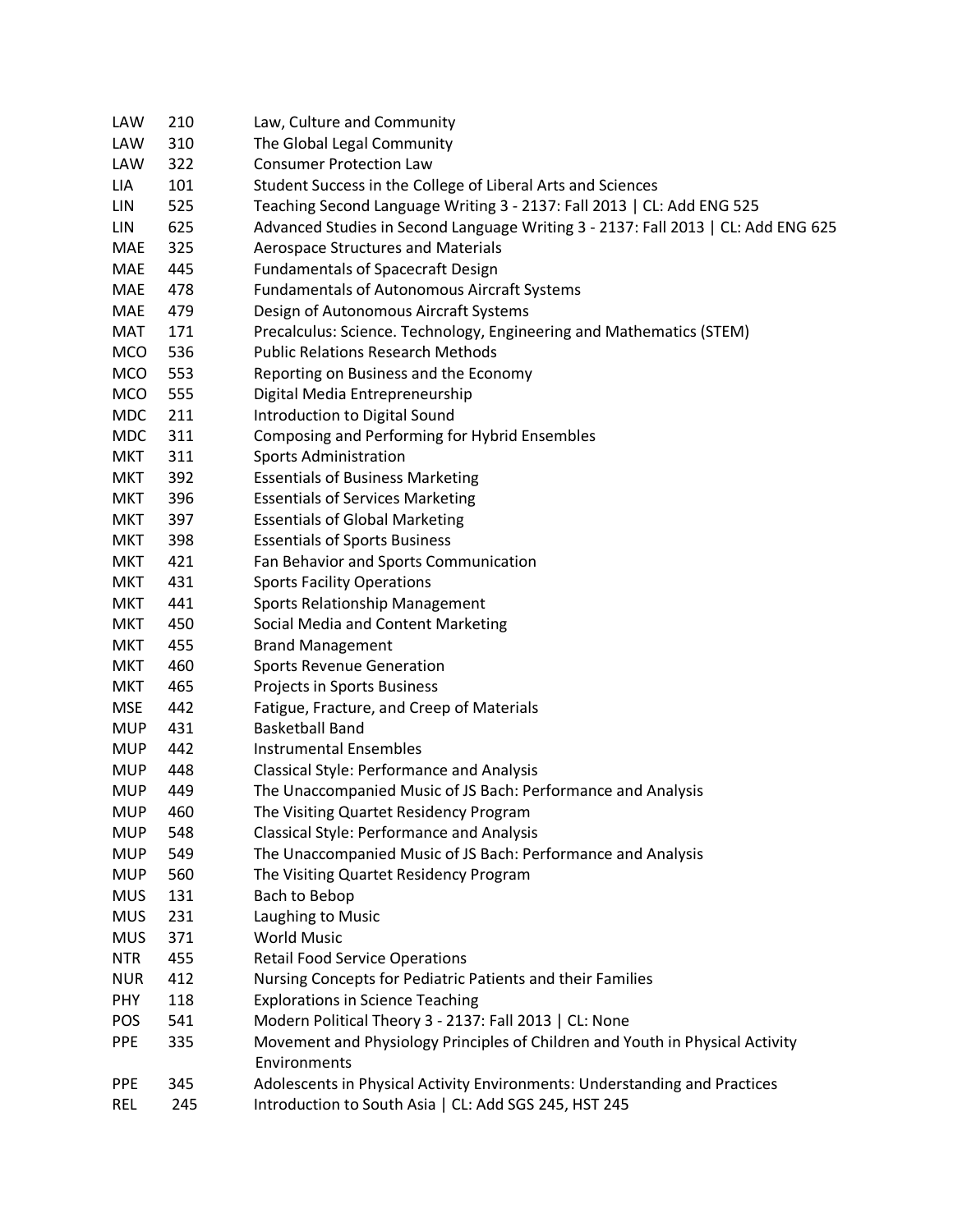| <b>LAW</b> | 210 | Law, Culture and Community                                                        |
|------------|-----|-----------------------------------------------------------------------------------|
| <b>LAW</b> | 310 | The Global Legal Community                                                        |
| LAW        | 322 | <b>Consumer Protection Law</b>                                                    |
| LIA        | 101 | Student Success in the College of Liberal Arts and Sciences                       |
| <b>LIN</b> | 525 | Teaching Second Language Writing 3 - 2137: Fall 2013   CL: Add ENG 525            |
| LIN        | 625 | Advanced Studies in Second Language Writing 3 - 2137: Fall 2013   CL: Add ENG 625 |
| MAE        | 325 | <b>Aerospace Structures and Materials</b>                                         |
| <b>MAE</b> | 445 | <b>Fundamentals of Spacecraft Design</b>                                          |
| MAE        | 478 | <b>Fundamentals of Autonomous Aircraft Systems</b>                                |
| <b>MAE</b> | 479 | Design of Autonomous Aircraft Systems                                             |
| MAT        | 171 | Precalculus: Science. Technology, Engineering and Mathematics (STEM)              |
| <b>MCO</b> | 536 | <b>Public Relations Research Methods</b>                                          |
| <b>MCO</b> | 553 | Reporting on Business and the Economy                                             |
| <b>MCO</b> | 555 | Digital Media Entrepreneurship                                                    |
| <b>MDC</b> | 211 | Introduction to Digital Sound                                                     |
| <b>MDC</b> | 311 | Composing and Performing for Hybrid Ensembles                                     |
| <b>MKT</b> | 311 | <b>Sports Administration</b>                                                      |
| <b>MKT</b> | 392 | <b>Essentials of Business Marketing</b>                                           |
| <b>MKT</b> | 396 | <b>Essentials of Services Marketing</b>                                           |
| <b>MKT</b> | 397 | <b>Essentials of Global Marketing</b>                                             |
| <b>MKT</b> | 398 | <b>Essentials of Sports Business</b>                                              |
| <b>MKT</b> | 421 | Fan Behavior and Sports Communication                                             |
| <b>MKT</b> | 431 | <b>Sports Facility Operations</b>                                                 |
| <b>MKT</b> | 441 | Sports Relationship Management                                                    |
| <b>MKT</b> | 450 | Social Media and Content Marketing                                                |
| <b>MKT</b> | 455 | <b>Brand Management</b>                                                           |
| <b>MKT</b> | 460 | <b>Sports Revenue Generation</b>                                                  |
| <b>MKT</b> | 465 | Projects in Sports Business                                                       |
| <b>MSE</b> | 442 | Fatigue, Fracture, and Creep of Materials                                         |
| <b>MUP</b> | 431 | <b>Basketball Band</b>                                                            |
| <b>MUP</b> | 442 | <b>Instrumental Ensembles</b>                                                     |
| <b>MUP</b> | 448 | <b>Classical Style: Performance and Analysis</b>                                  |
| <b>MUP</b> | 449 | The Unaccompanied Music of JS Bach: Performance and Analysis                      |
| <b>MUP</b> | 460 | The Visiting Quartet Residency Program                                            |
| <b>MUP</b> | 548 | <b>Classical Style: Performance and Analysis</b>                                  |
| <b>MUP</b> | 549 | The Unaccompanied Music of JS Bach: Performance and Analysis                      |
| <b>MUP</b> | 560 | The Visiting Quartet Residency Program                                            |
| <b>MUS</b> | 131 | Bach to Bebop                                                                     |
| <b>MUS</b> | 231 | Laughing to Music                                                                 |
| <b>MUS</b> | 371 | <b>World Music</b>                                                                |
| <b>NTR</b> | 455 | <b>Retail Food Service Operations</b>                                             |
| <b>NUR</b> | 412 | Nursing Concepts for Pediatric Patients and their Families                        |
| PHY        | 118 | <b>Explorations in Science Teaching</b>                                           |
| POS        | 541 | Modern Political Theory 3 - 2137: Fall 2013   CL: None                            |
| <b>PPE</b> | 335 | Movement and Physiology Principles of Children and Youth in Physical Activity     |
|            |     | Environments                                                                      |
| <b>PPE</b> | 345 | Adolescents in Physical Activity Environments: Understanding and Practices        |
| <b>REL</b> | 245 | Introduction to South Asia   CL: Add SGS 245, HST 245                             |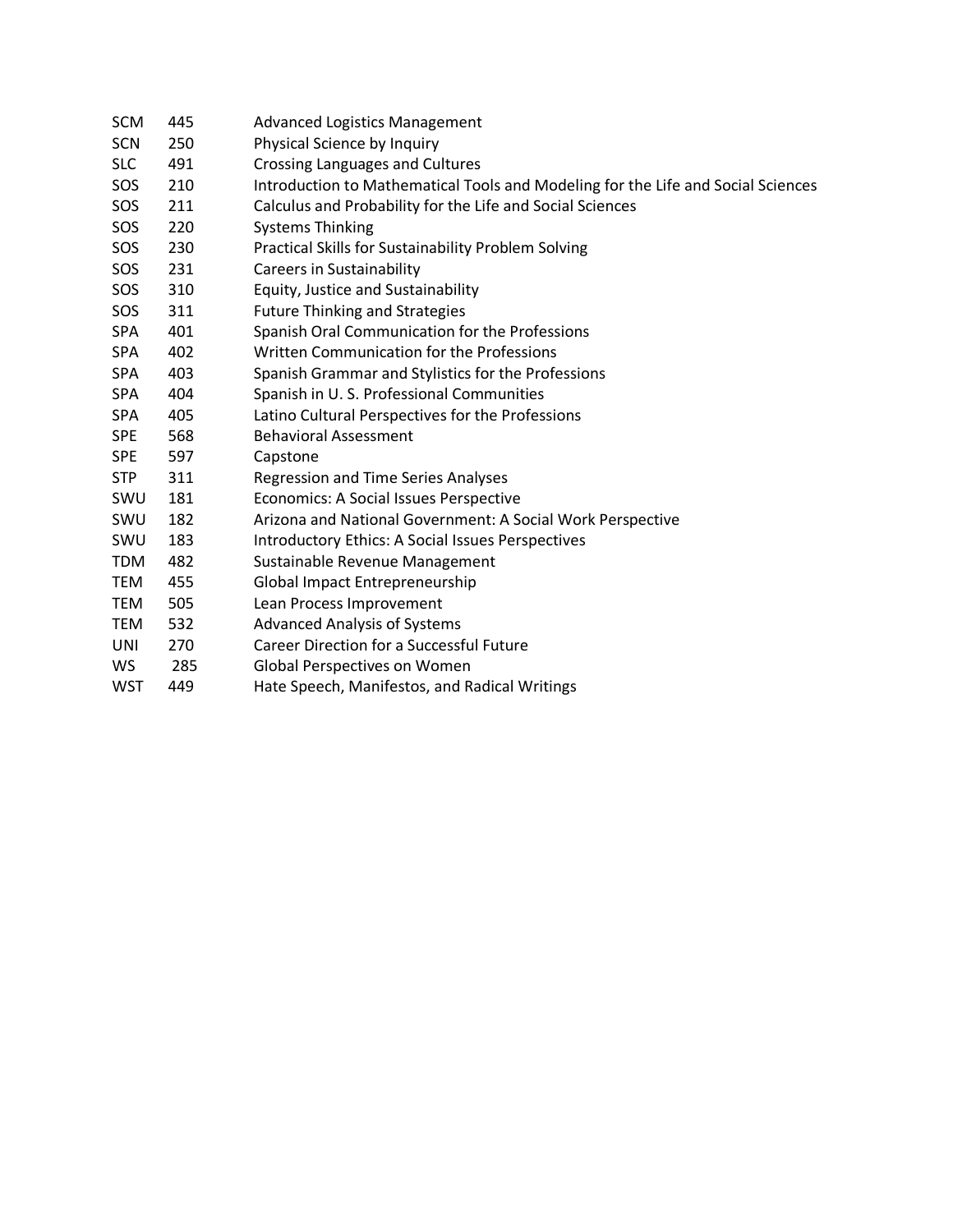| <b>SCM</b> | 445 | <b>Advanced Logistics Management</b>                                             |
|------------|-----|----------------------------------------------------------------------------------|
| <b>SCN</b> | 250 | Physical Science by Inquiry                                                      |
| <b>SLC</b> | 491 | Crossing Languages and Cultures                                                  |
| SOS        | 210 | Introduction to Mathematical Tools and Modeling for the Life and Social Sciences |
| SOS        | 211 | Calculus and Probability for the Life and Social Sciences                        |
| SOS        | 220 | <b>Systems Thinking</b>                                                          |
| SOS        | 230 | Practical Skills for Sustainability Problem Solving                              |
| SOS        | 231 | <b>Careers in Sustainability</b>                                                 |
| SOS        | 310 | Equity, Justice and Sustainability                                               |
| SOS        | 311 | <b>Future Thinking and Strategies</b>                                            |
| <b>SPA</b> | 401 | Spanish Oral Communication for the Professions                                   |
| <b>SPA</b> | 402 | Written Communication for the Professions                                        |
| <b>SPA</b> | 403 | Spanish Grammar and Stylistics for the Professions                               |
| <b>SPA</b> | 404 | Spanish in U.S. Professional Communities                                         |
| <b>SPA</b> | 405 | Latino Cultural Perspectives for the Professions                                 |
| <b>SPE</b> | 568 | <b>Behavioral Assessment</b>                                                     |
| <b>SPE</b> | 597 | Capstone                                                                         |
| <b>STP</b> | 311 | <b>Regression and Time Series Analyses</b>                                       |
| SWU        | 181 | <b>Economics: A Social Issues Perspective</b>                                    |
| SWU        | 182 | Arizona and National Government: A Social Work Perspective                       |
| SWU        | 183 | Introductory Ethics: A Social Issues Perspectives                                |
| <b>TDM</b> | 482 | Sustainable Revenue Management                                                   |
| TEM        | 455 | Global Impact Entrepreneurship                                                   |
| <b>TEM</b> | 505 | Lean Process Improvement                                                         |
| <b>TEM</b> | 532 | <b>Advanced Analysis of Systems</b>                                              |
| <b>UNI</b> | 270 | <b>Career Direction for a Successful Future</b>                                  |
| WS         | 285 | Global Perspectives on Women                                                     |
| <b>WST</b> | 449 | Hate Speech, Manifestos, and Radical Writings                                    |
|            |     |                                                                                  |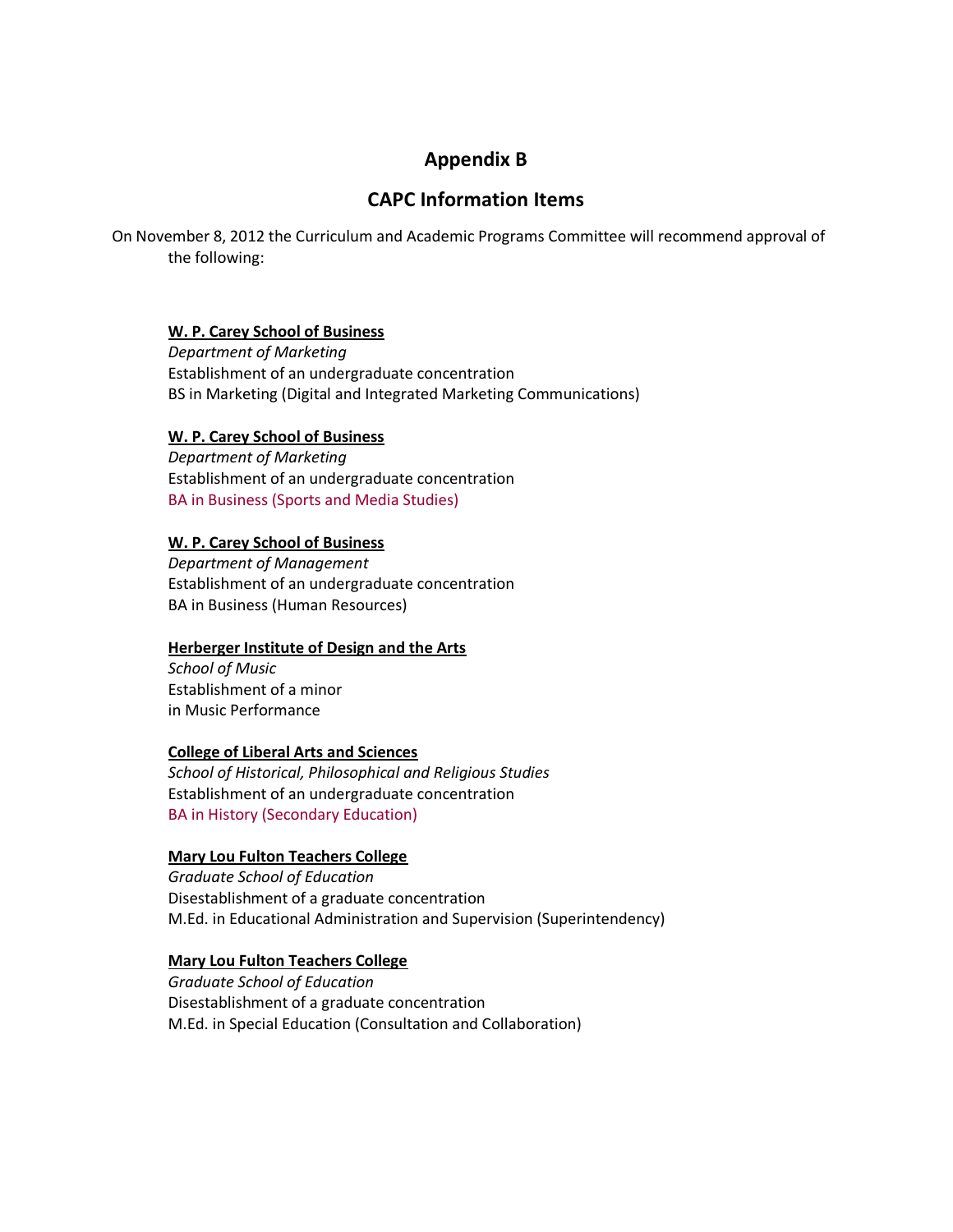# **Appendix B**

# **CAPC Information Items**

On November 8, 2012 the Curriculum and Academic Programs Committee will recommend approval of the following:

### **W. P. Carey School of Business**

*Department of Marketing* Establishment of an undergraduate concentration BS in Marketing (Digital and Integrated Marketing Communications)

### **W. P. Carey School of Business**

*Department of Marketing* Establishment of an undergraduate concentration [BA in Business \(Sports and Media Studies\)](https://provost.asu.edu/sites/default/files/shared/capc/FINAL-BA_Sports_Media%20Studies_NoDOC_%2010-23-12.pdf.pdf)

### **W. P. Carey School of Business**

*Department of Management* Establishment of an undergraduate concentration BA in Business (Human Resources)

### **Herberger Institute of Design and the Arts**

*School of Music* Establishment of a minor in Music Performance

### **College of Liberal Arts and Sciences**

*School of Historical, Philosophical and Religious Studies* Establishment of an undergraduate concentration [BA in History \(Secondary Education\)](https://provost.asu.edu/sites/default/files/shared/capc/1335_001.pdf.pdf)

### **Mary Lou Fulton Teachers College**

*Graduate School of Education* Disestablishment of a graduate concentration M.Ed. in Educational Administration and Supervision (Superintendency)

### **Mary Lou Fulton Teachers College**

*Graduate School of Education* Disestablishment of a graduate concentration M.Ed. in Special Education (Consultation and Collaboration)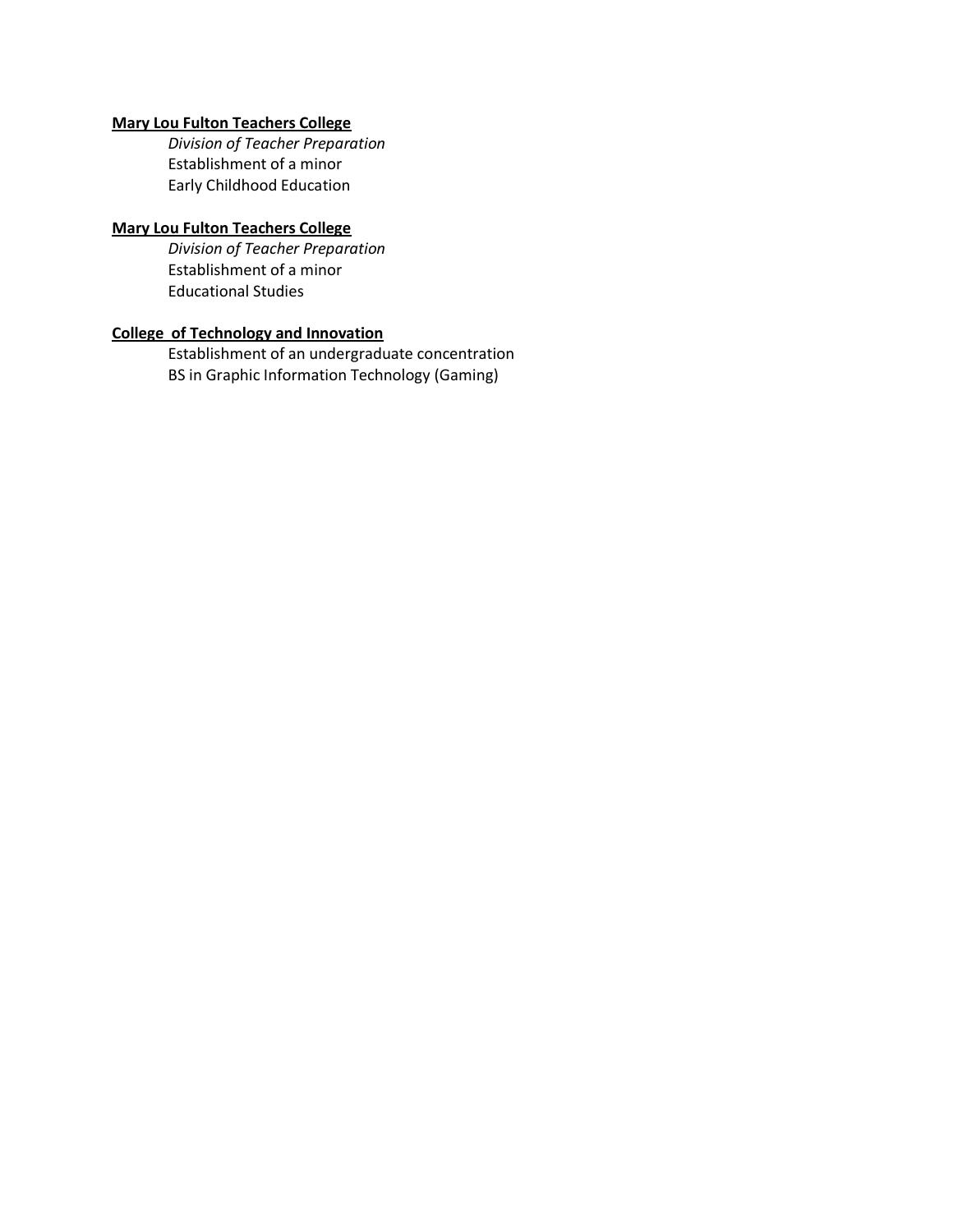### **Mary Lou Fulton Teachers College**

*Division of Teacher Preparation* Establishment of a minor Early Childhood Education

### **Mary Lou Fulton Teachers College**

*Division of Teacher Preparation* Establishment of a minor Educational Studies

# **College of Technology and Innovation**

Establishment of an undergraduate concentration BS in Graphic Information Technology (Gaming)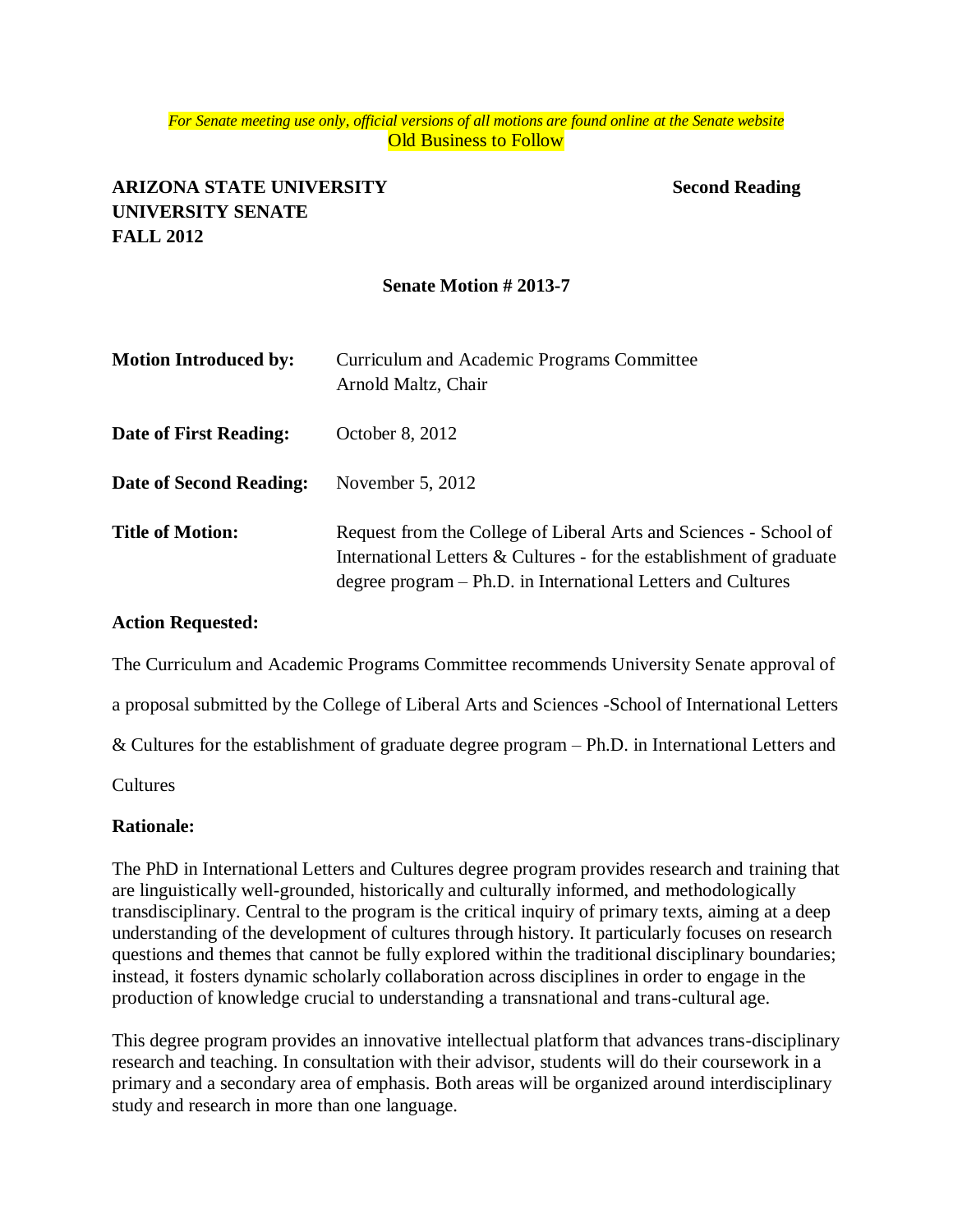### *For Senate meeting use only, official versions of all motions are found online at the Senate website* **Old Business to Follow**

# **ARIZONA STATE UNIVERSITY Second Reading UNIVERSITY SENATE FALL 2012**

### **Senate Motion # 2013-7**

| <b>Motion Introduced by:</b> | Curriculum and Academic Programs Committee<br>Arnold Maltz, Chair                                                                                                                                           |
|------------------------------|-------------------------------------------------------------------------------------------------------------------------------------------------------------------------------------------------------------|
| Date of First Reading:       | October 8, 2012                                                                                                                                                                                             |
| Date of Second Reading:      | November $5, 2012$                                                                                                                                                                                          |
| <b>Title of Motion:</b>      | Request from the College of Liberal Arts and Sciences - School of<br>International Letters $&$ Cultures - for the establishment of graduate<br>degree program – Ph.D. in International Letters and Cultures |

### **Action Requested:**

The Curriculum and Academic Programs Committee recommends University Senate approval of

a proposal submitted by the College of Liberal Arts and Sciences -School of International Letters

& Cultures for the establishment of graduate degree program – Ph.D. in International Letters and

Cultures

### **Rationale:**

The PhD in International Letters and Cultures degree program provides research and training that are linguistically well-grounded, historically and culturally informed, and methodologically transdisciplinary. Central to the program is the critical inquiry of primary texts, aiming at a deep understanding of the development of cultures through history. It particularly focuses on research questions and themes that cannot be fully explored within the traditional disciplinary boundaries; instead, it fosters dynamic scholarly collaboration across disciplines in order to engage in the production of knowledge crucial to understanding a transnational and trans-cultural age.

This degree program provides an innovative intellectual platform that advances trans-disciplinary research and teaching. In consultation with their advisor, students will do their coursework in a primary and a secondary area of emphasis. Both areas will be organized around interdisciplinary study and research in more than one language.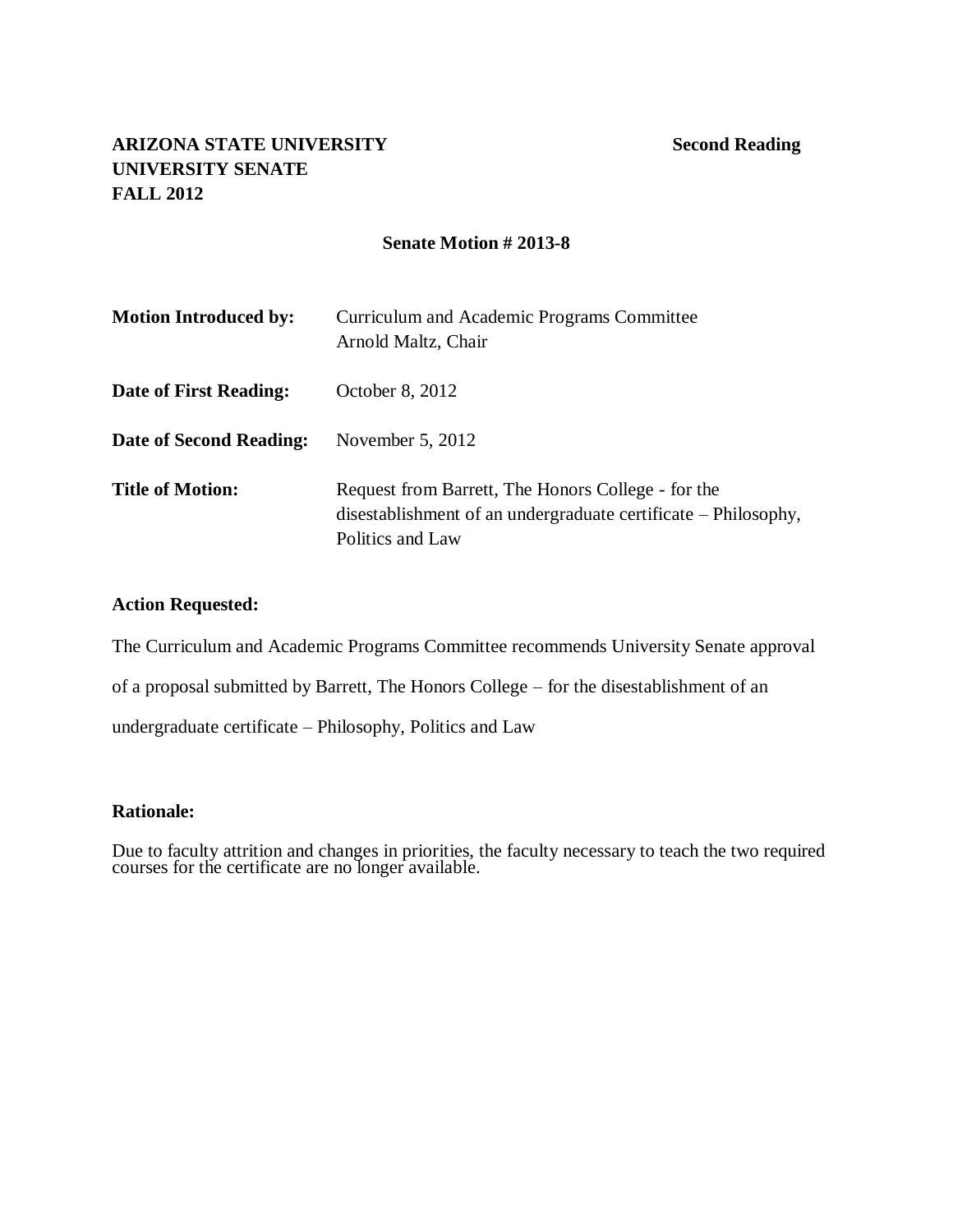# **ARIZONA STATE UNIVERSITY Second Reading UNIVERSITY SENATE FALL 2012**

# **Senate Motion # 2013-8**

| <b>Motion Introduced by:</b> | Curriculum and Academic Programs Committee<br>Arnold Maltz, Chair                                                                        |
|------------------------------|------------------------------------------------------------------------------------------------------------------------------------------|
| Date of First Reading:       | October 8, 2012                                                                                                                          |
| Date of Second Reading:      | November $5, 2012$                                                                                                                       |
| <b>Title of Motion:</b>      | Request from Barrett, The Honors College - for the<br>disestablishment of an undergraduate certificate – Philosophy,<br>Politics and Law |

# **Action Requested:**

The Curriculum and Academic Programs Committee recommends University Senate approval

of a proposal submitted by Barrett, The Honors College – for the disestablishment of an

undergraduate certificate – Philosophy, Politics and Law

### **Rationale:**

Due to faculty attrition and changes in priorities, the faculty necessary to teach the two required courses for the certificate are no longer available.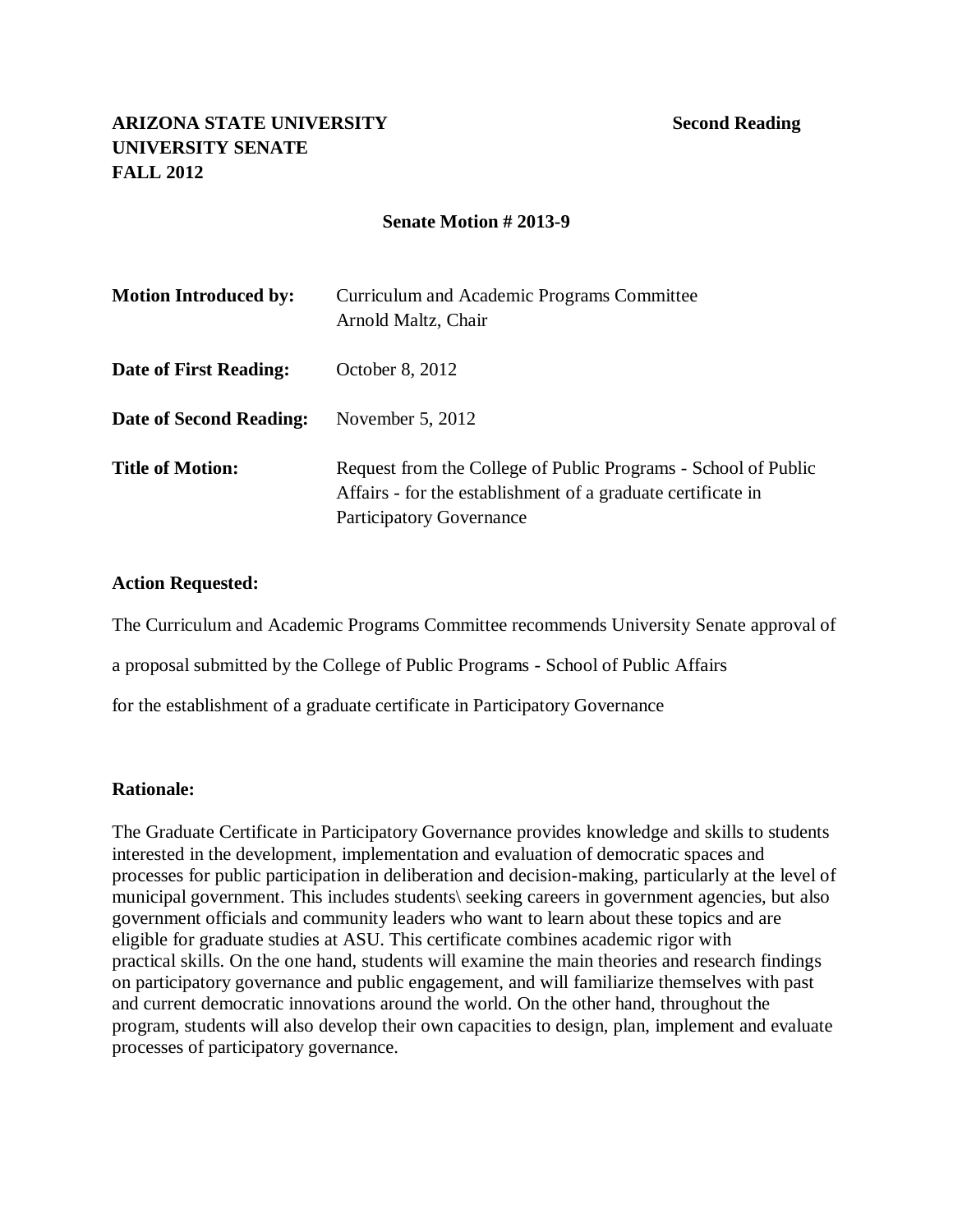# **ARIZONA STATE UNIVERSITY Second Reading UNIVERSITY SENATE FALL 2012**

### **Senate Motion # 2013-9**

| <b>Motion Introduced by:</b> | Curriculum and Academic Programs Committee<br>Arnold Maltz, Chair                                                                                                 |
|------------------------------|-------------------------------------------------------------------------------------------------------------------------------------------------------------------|
| Date of First Reading:       | October 8, 2012                                                                                                                                                   |
| Date of Second Reading:      | November $5, 2012$                                                                                                                                                |
| <b>Title of Motion:</b>      | Request from the College of Public Programs - School of Public<br>Affairs - for the establishment of a graduate certificate in<br><b>Participatory Governance</b> |

### **Action Requested:**

The Curriculum and Academic Programs Committee recommends University Senate approval of

a proposal submitted by the College of Public Programs - School of Public Affairs

for the establishment of a graduate certificate in Participatory Governance

### **Rationale:**

The Graduate Certificate in Participatory Governance provides knowledge and skills to students interested in the development, implementation and evaluation of democratic spaces and processes for public participation in deliberation and decision-making, particularly at the level of municipal government. This includes students\ seeking careers in government agencies, but also government officials and community leaders who want to learn about these topics and are eligible for graduate studies at ASU. This certificate combines academic rigor with practical skills. On the one hand, students will examine the main theories and research findings on participatory governance and public engagement, and will familiarize themselves with past and current democratic innovations around the world. On the other hand, throughout the program, students will also develop their own capacities to design, plan, implement and evaluate processes of participatory governance.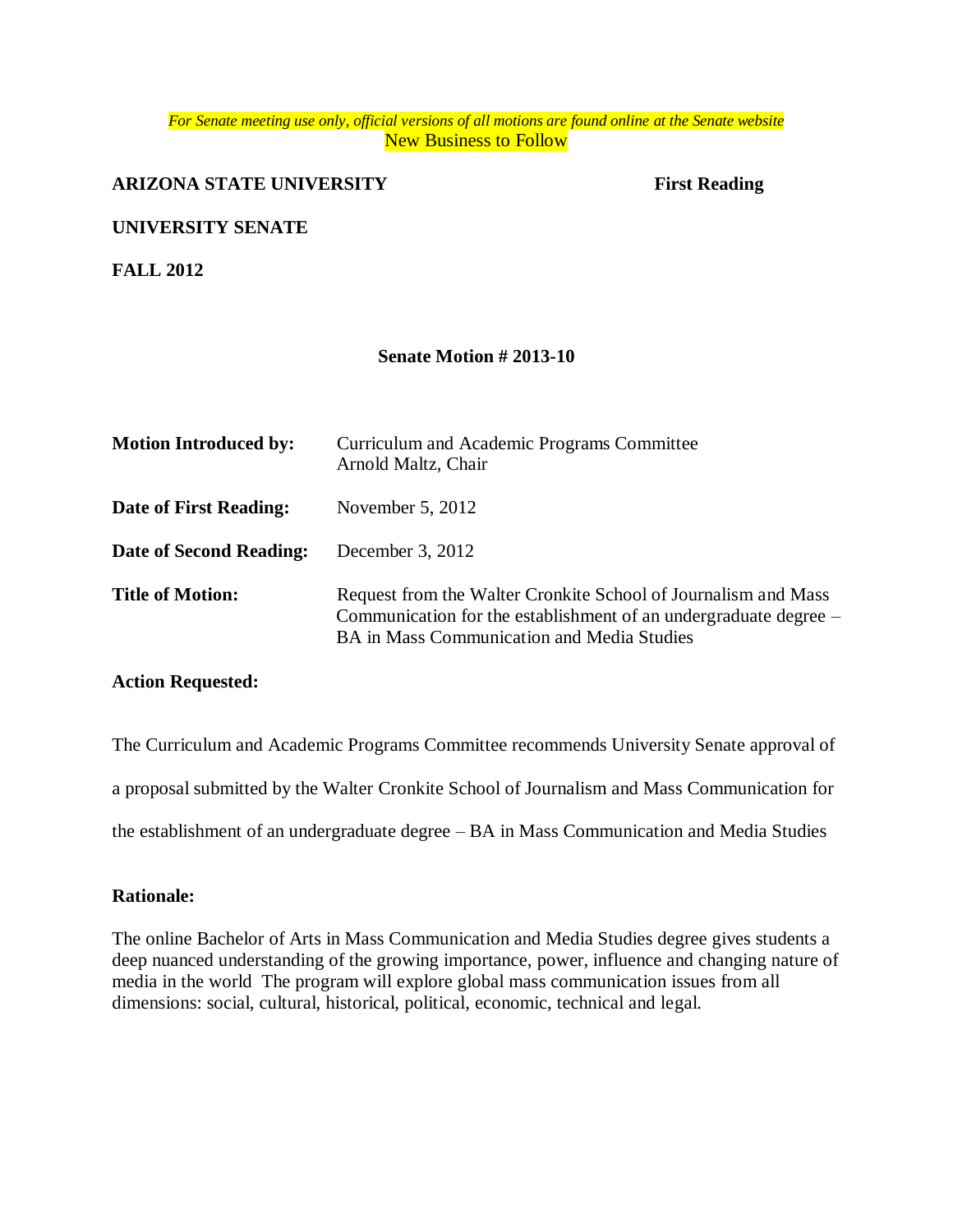### *For Senate meeting use only, official versions of all motions are found online at the Senate website* New Business to Follow

# **ARIZONA STATE UNIVERSITY** First Reading

### **UNIVERSITY SENATE**

**FALL 2012**

### **Senate Motion # 2013-10**

| <b>Motion Introduced by:</b>   | Curriculum and Academic Programs Committee<br>Arnold Maltz, Chair                                                                                                                |
|--------------------------------|----------------------------------------------------------------------------------------------------------------------------------------------------------------------------------|
| Date of First Reading:         | November $5, 2012$                                                                                                                                                               |
| <b>Date of Second Reading:</b> | December 3, 2012                                                                                                                                                                 |
| <b>Title of Motion:</b>        | Request from the Walter Cronkite School of Journalism and Mass<br>Communication for the establishment of an undergraduate degree –<br>BA in Mass Communication and Media Studies |

### **Action Requested:**

The Curriculum and Academic Programs Committee recommends University Senate approval of a proposal submitted by the Walter Cronkite School of Journalism and Mass Communication for the establishment of an undergraduate degree – BA in Mass Communication and Media Studies

### **Rationale:**

The online Bachelor of Arts in Mass Communication and Media Studies degree gives students a deep nuanced understanding of the growing importance, power, influence and changing nature of media in the world The program will explore global mass communication issues from all dimensions: social, cultural, historical, political, economic, technical and legal.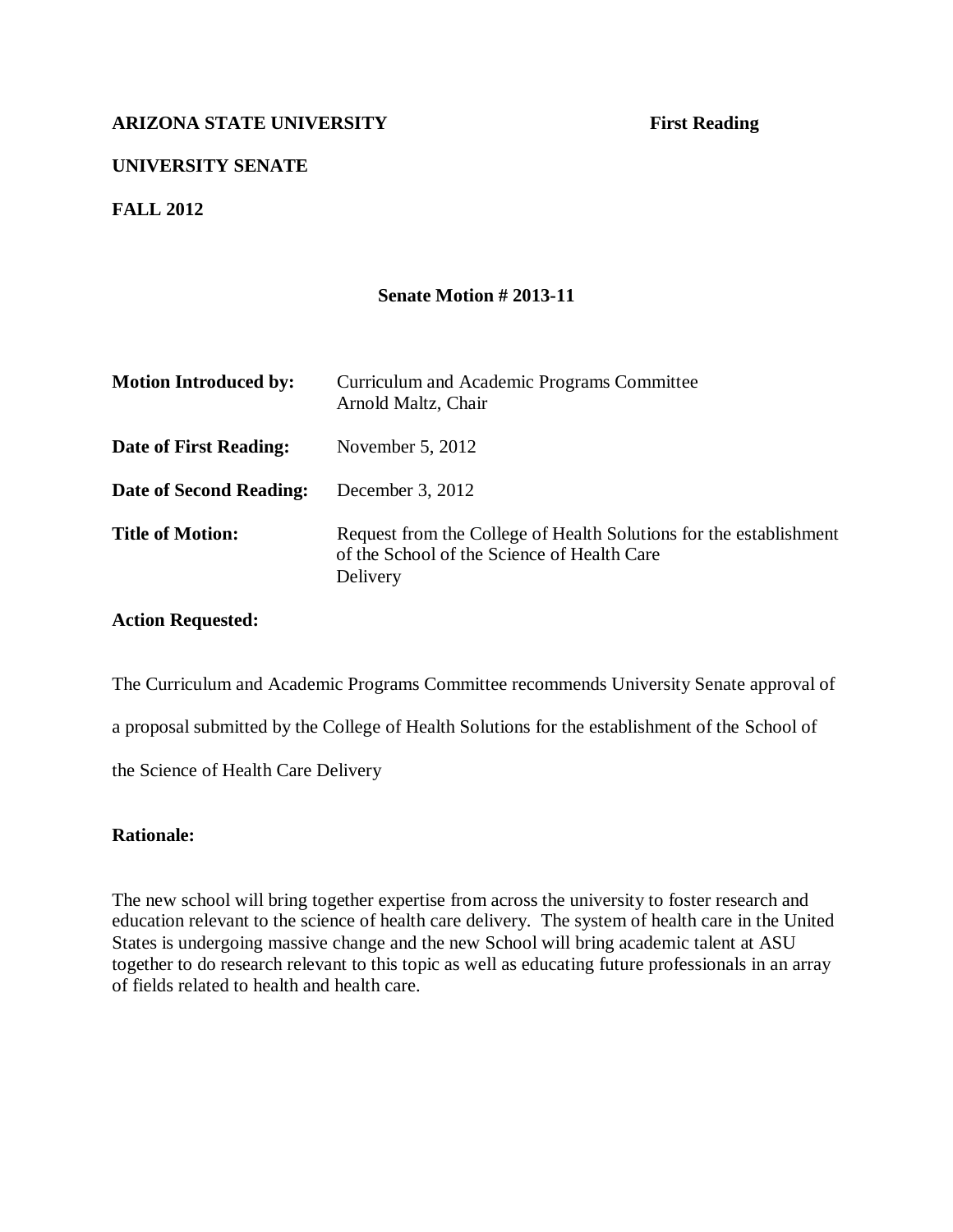# **UNIVERSITY SENATE**

### **FALL 2012**

### **Senate Motion # 2013-11**

| <b>Motion Introduced by:</b> | Curriculum and Academic Programs Committee<br>Arnold Maltz, Chair                                                             |
|------------------------------|-------------------------------------------------------------------------------------------------------------------------------|
| Date of First Reading:       | November $5, 2012$                                                                                                            |
| Date of Second Reading:      | December 3, $2012$                                                                                                            |
| <b>Title of Motion:</b>      | Request from the College of Health Solutions for the establishment<br>of the School of the Science of Health Care<br>Delivery |

### **Action Requested:**

The Curriculum and Academic Programs Committee recommends University Senate approval of

a proposal submitted by the College of Health Solutions for the establishment of the School of

the Science of Health Care Delivery

### **Rationale:**

The new school will bring together expertise from across the university to foster research and education relevant to the science of health care delivery. The system of health care in the United States is undergoing massive change and the new School will bring academic talent at ASU together to do research relevant to this topic as well as educating future professionals in an array of fields related to health and health care.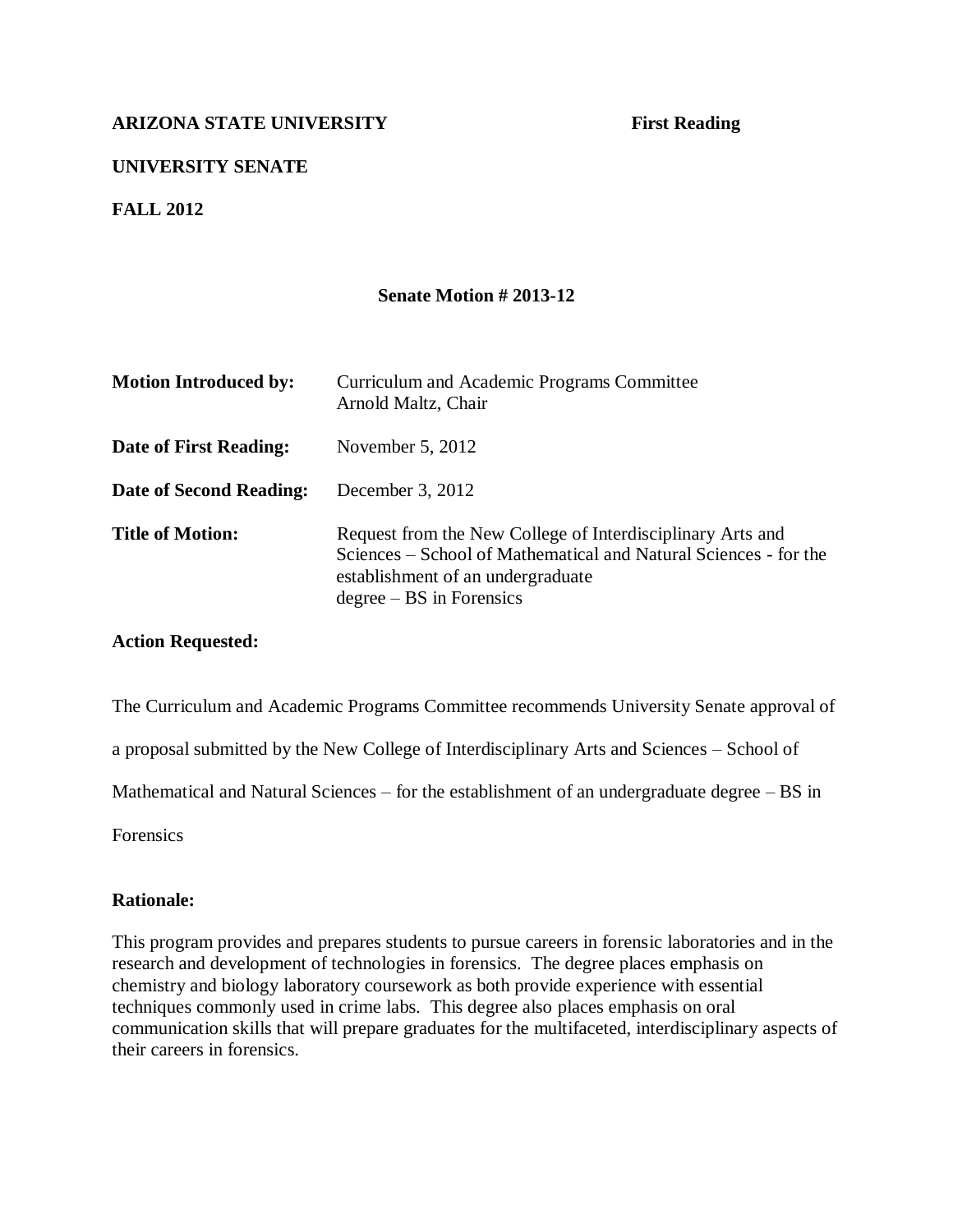# **UNIVERSITY SENATE**

**FALL 2012**

### **Senate Motion # 2013-12**

| <b>Motion Introduced by:</b> | Curriculum and Academic Programs Committee<br>Arnold Maltz, Chair                                                                                                                                 |
|------------------------------|---------------------------------------------------------------------------------------------------------------------------------------------------------------------------------------------------|
| Date of First Reading:       | November $5, 2012$                                                                                                                                                                                |
| Date of Second Reading:      | December 3, 2012                                                                                                                                                                                  |
| <b>Title of Motion:</b>      | Request from the New College of Interdisciplinary Arts and<br>Sciences – School of Mathematical and Natural Sciences - for the<br>establishment of an undergraduate<br>$degree - BS$ in Forensics |

### **Action Requested:**

The Curriculum and Academic Programs Committee recommends University Senate approval of

a proposal submitted by the New College of Interdisciplinary Arts and Sciences – School of

Mathematical and Natural Sciences – for the establishment of an undergraduate degree – BS in

Forensics

### **Rationale:**

This program provides and prepares students to pursue careers in forensic laboratories and in the research and development of technologies in forensics. The degree places emphasis on chemistry and biology laboratory coursework as both provide experience with essential techniques commonly used in crime labs. This degree also places emphasis on oral communication skills that will prepare graduates for the multifaceted, interdisciplinary aspects of their careers in forensics.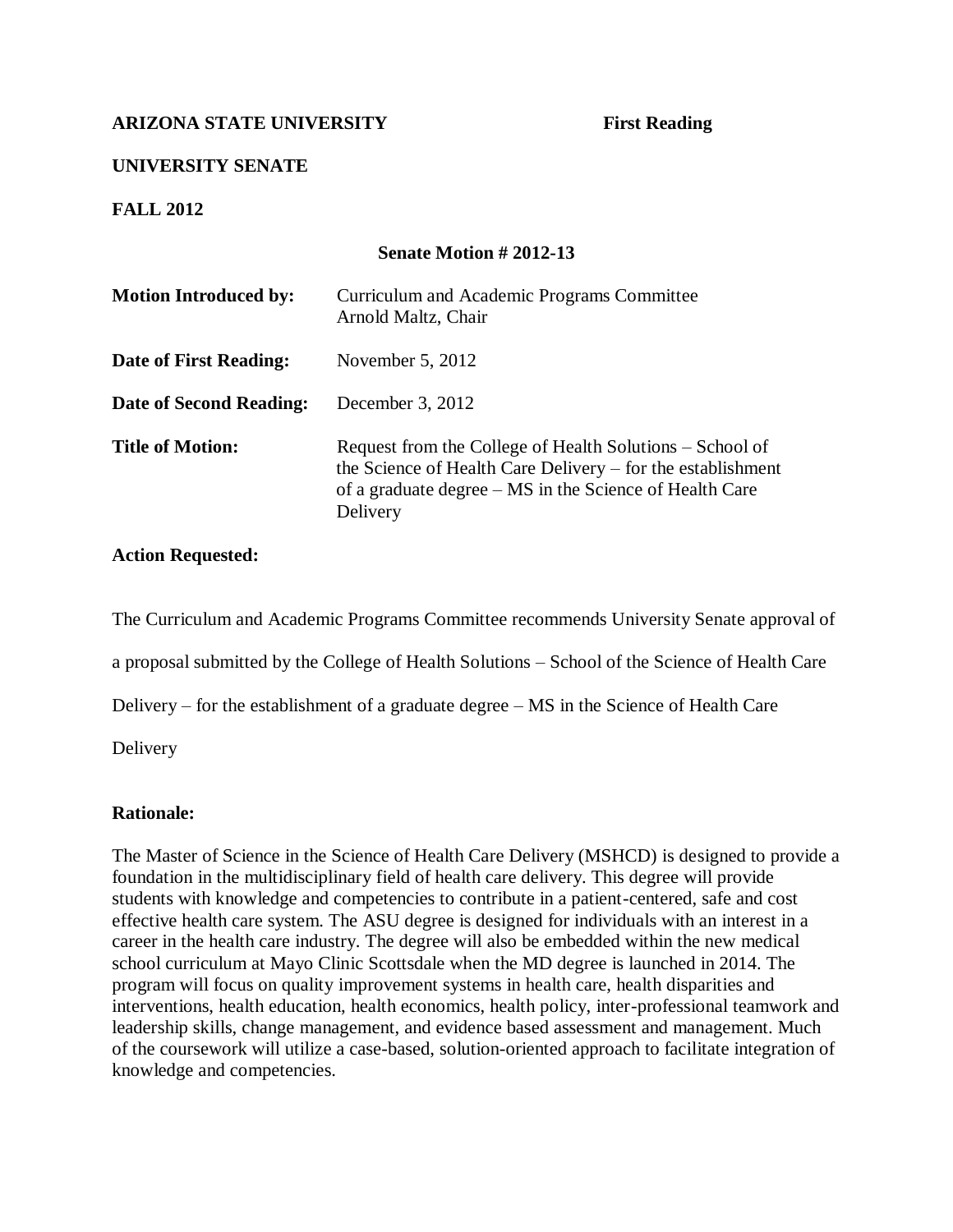# **UNIVERSITY SENATE**

**FALL 2012**

# **Senate Motion # 2012-13**

| <b>Motion Introduced by:</b> | Curriculum and Academic Programs Committee<br>Arnold Maltz, Chair                                                                                                                              |
|------------------------------|------------------------------------------------------------------------------------------------------------------------------------------------------------------------------------------------|
| Date of First Reading:       | November $5, 2012$                                                                                                                                                                             |
| Date of Second Reading:      | December 3, $2012$                                                                                                                                                                             |
| <b>Title of Motion:</b>      | Request from the College of Health Solutions – School of<br>the Science of Health Care Delivery – for the establishment<br>of a graduate degree – MS in the Science of Health Care<br>Delivery |

# **Action Requested:**

The Curriculum and Academic Programs Committee recommends University Senate approval of

a proposal submitted by the College of Health Solutions – School of the Science of Health Care

Delivery – for the establishment of a graduate degree – MS in the Science of Health Care

Delivery

### **Rationale:**

The Master of Science in the Science of Health Care Delivery (MSHCD) is designed to provide a foundation in the multidisciplinary field of health care delivery. This degree will provide students with knowledge and competencies to contribute in a patient-centered, safe and cost effective health care system. The ASU degree is designed for individuals with an interest in a career in the health care industry. The degree will also be embedded within the new medical school curriculum at Mayo Clinic Scottsdale when the MD degree is launched in 2014. The program will focus on quality improvement systems in health care, health disparities and interventions, health education, health economics, health policy, inter-professional teamwork and leadership skills, change management, and evidence based assessment and management. Much of the coursework will utilize a case-based, solution-oriented approach to facilitate integration of knowledge and competencies.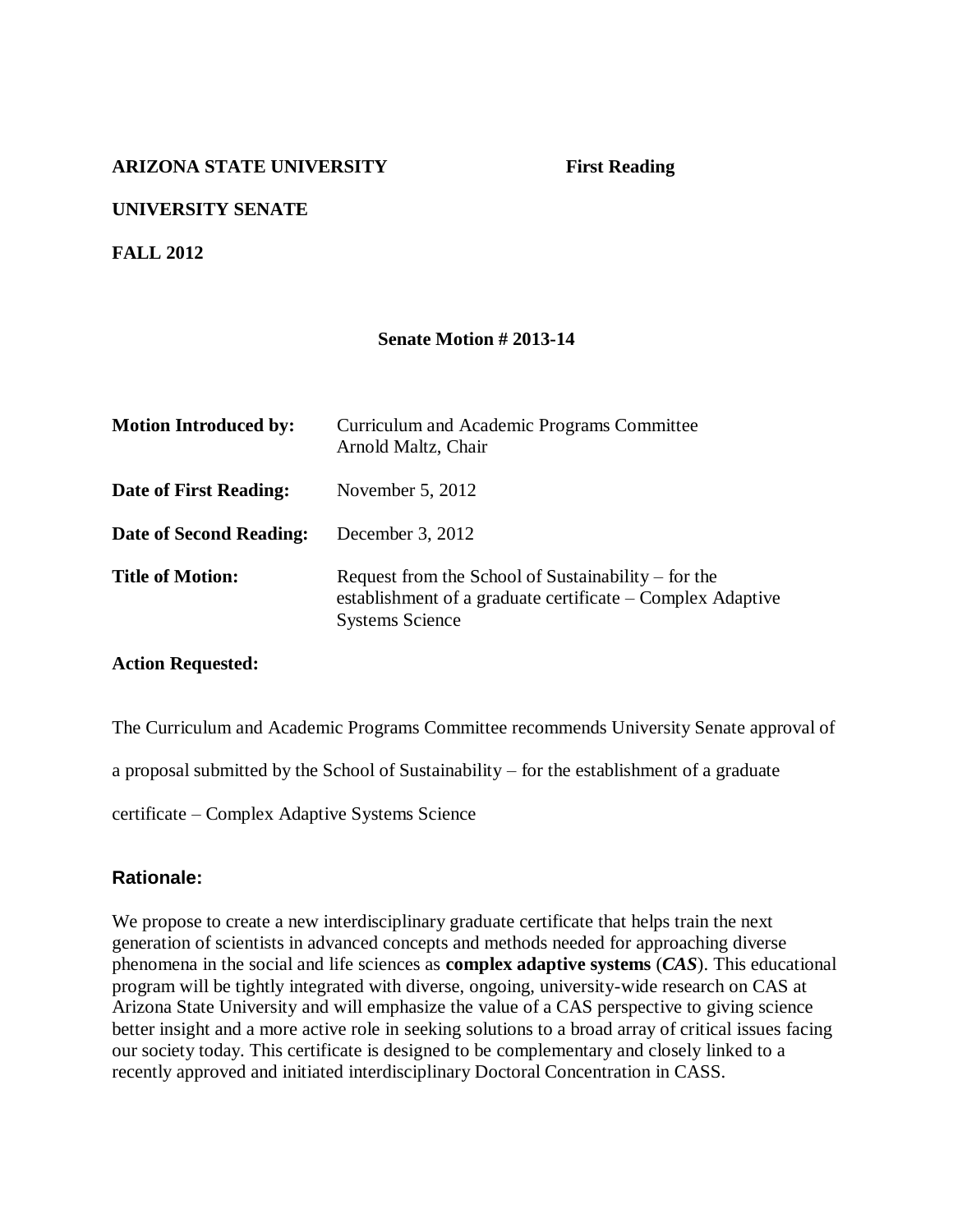# **UNIVERSITY SENATE**

# **FALL 2012**

### **Senate Motion # 2013-14**

| <b>Motion Introduced by:</b>  | Curriculum and Academic Programs Committee<br>Arnold Maltz, Chair                                                                             |
|-------------------------------|-----------------------------------------------------------------------------------------------------------------------------------------------|
| <b>Date of First Reading:</b> | November $5, 2012$                                                                                                                            |
| Date of Second Reading:       | December 3, 2012                                                                                                                              |
| <b>Title of Motion:</b>       | Request from the School of Sustainability $-$ for the<br>establishment of a graduate certificate – Complex Adaptive<br><b>Systems Science</b> |

### **Action Requested:**

The Curriculum and Academic Programs Committee recommends University Senate approval of

a proposal submitted by the School of Sustainability – for the establishment of a graduate

certificate – Complex Adaptive Systems Science

### **Rationale:**

We propose to create a new interdisciplinary graduate certificate that helps train the next generation of scientists in advanced concepts and methods needed for approaching diverse phenomena in the social and life sciences as **complex adaptive systems** (*CAS*). This educational program will be tightly integrated with diverse, ongoing, university-wide research on CAS at Arizona State University and will emphasize the value of a CAS perspective to giving science better insight and a more active role in seeking solutions to a broad array of critical issues facing our society today. This certificate is designed to be complementary and closely linked to a recently approved and initiated interdisciplinary Doctoral Concentration in CASS.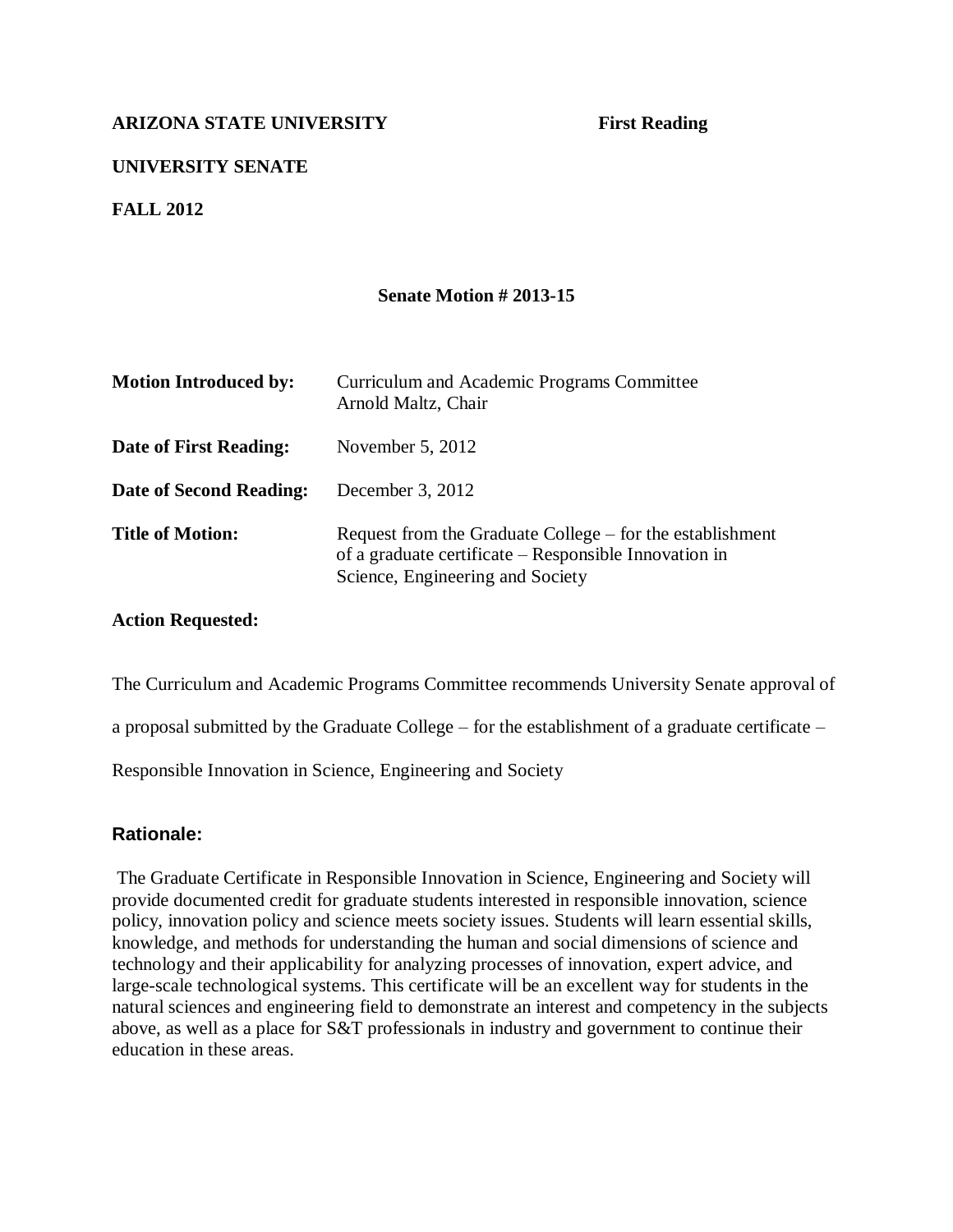# **UNIVERSITY SENATE**

**FALL 2012**

### **Senate Motion # 2013-15**

| <b>Motion Introduced by:</b> | Curriculum and Academic Programs Committee<br>Arnold Maltz, Chair                                                                                      |
|------------------------------|--------------------------------------------------------------------------------------------------------------------------------------------------------|
| Date of First Reading:       | November $5, 2012$                                                                                                                                     |
| Date of Second Reading:      | December 3, $2012$                                                                                                                                     |
| <b>Title of Motion:</b>      | Request from the Graduate College – for the establishment<br>of a graduate certificate – Responsible Innovation in<br>Science, Engineering and Society |

### **Action Requested:**

The Curriculum and Academic Programs Committee recommends University Senate approval of

a proposal submitted by the Graduate College – for the establishment of a graduate certificate –

Responsible Innovation in Science, Engineering and Society

### **Rationale:**

The Graduate Certificate in Responsible Innovation in Science, Engineering and Society will provide documented credit for graduate students interested in responsible innovation, science policy, innovation policy and science meets society issues. Students will learn essential skills, knowledge, and methods for understanding the human and social dimensions of science and technology and their applicability for analyzing processes of innovation, expert advice, and large-scale technological systems. This certificate will be an excellent way for students in the natural sciences and engineering field to demonstrate an interest and competency in the subjects above, as well as a place for S&T professionals in industry and government to continue their education in these areas.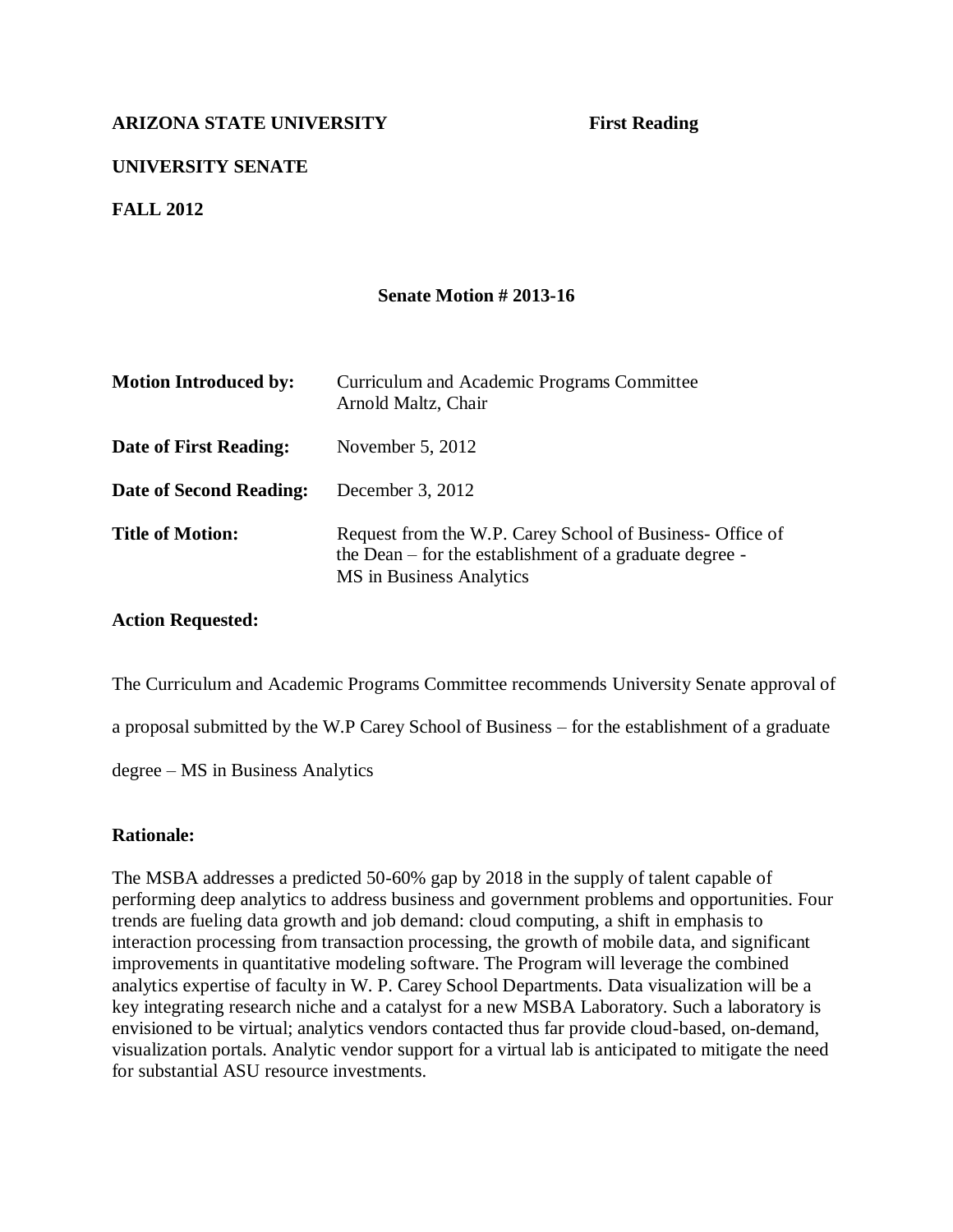# **UNIVERSITY SENATE**

**FALL 2012**

### **Senate Motion # 2013-16**

| <b>Motion Introduced by:</b> | Curriculum and Academic Programs Committee<br>Arnold Maltz, Chair                                                                                |
|------------------------------|--------------------------------------------------------------------------------------------------------------------------------------------------|
| Date of First Reading:       | November $5, 2012$                                                                                                                               |
| Date of Second Reading:      | December $3, 2012$                                                                                                                               |
| <b>Title of Motion:</b>      | Request from the W.P. Carey School of Business- Office of<br>the Dean – for the establishment of a graduate degree -<br>MS in Business Analytics |

### **Action Requested:**

The Curriculum and Academic Programs Committee recommends University Senate approval of

a proposal submitted by the W.P Carey School of Business – for the establishment of a graduate

degree – MS in Business Analytics

### **Rationale:**

The MSBA addresses a predicted 50-60% gap by 2018 in the supply of talent capable of performing deep analytics to address business and government problems and opportunities. Four trends are fueling data growth and job demand: cloud computing, a shift in emphasis to interaction processing from transaction processing, the growth of mobile data, and significant improvements in quantitative modeling software. The Program will leverage the combined analytics expertise of faculty in W. P. Carey School Departments. Data visualization will be a key integrating research niche and a catalyst for a new MSBA Laboratory. Such a laboratory is envisioned to be virtual; analytics vendors contacted thus far provide cloud-based, on-demand, visualization portals. Analytic vendor support for a virtual lab is anticipated to mitigate the need for substantial ASU resource investments.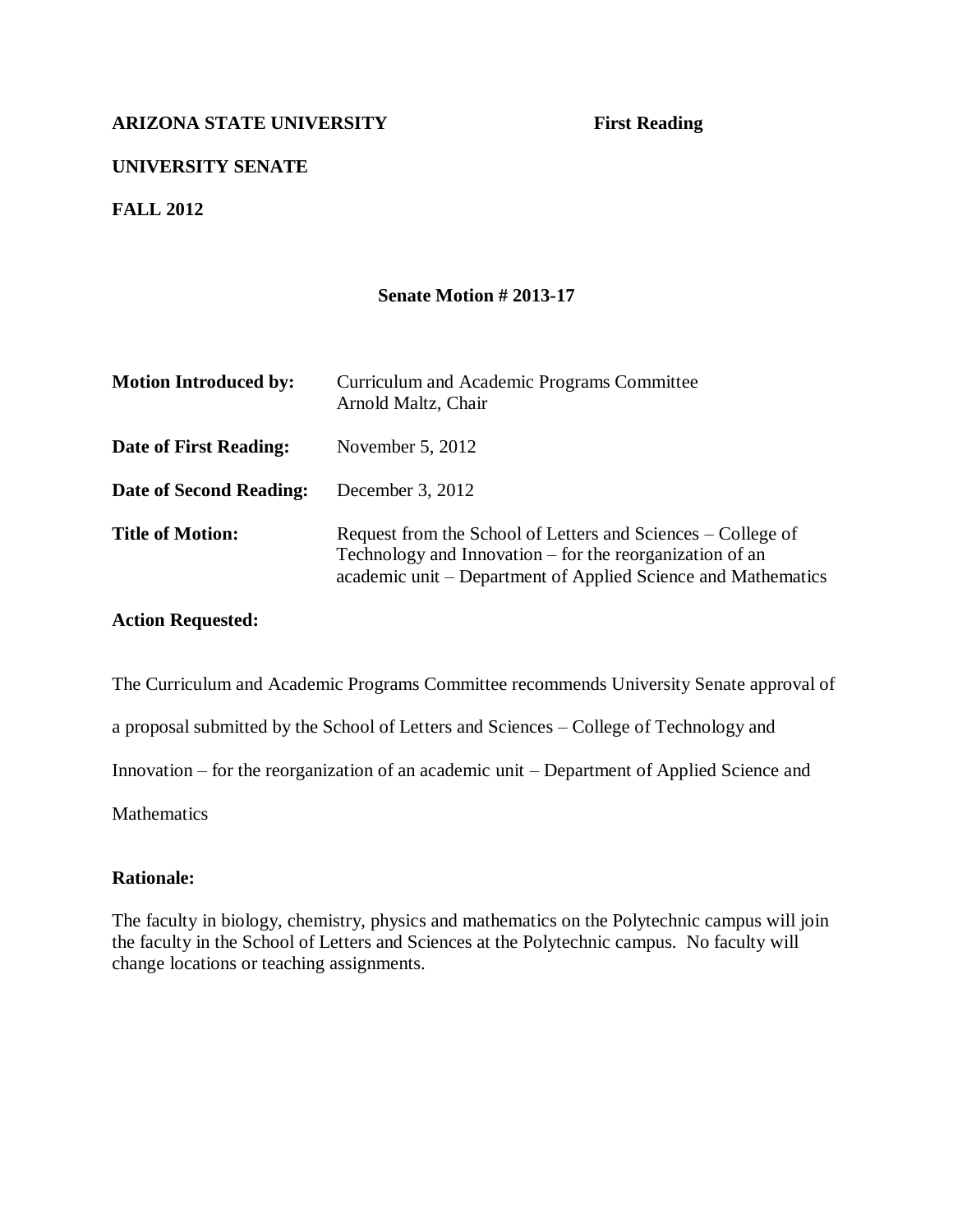# **UNIVERSITY SENATE**

**FALL 2012**

### **Senate Motion # 2013-17**

| <b>Motion Introduced by:</b> | Curriculum and Academic Programs Committee<br>Arnold Maltz, Chair                                                                                                                         |
|------------------------------|-------------------------------------------------------------------------------------------------------------------------------------------------------------------------------------------|
| Date of First Reading:       | November $5, 2012$                                                                                                                                                                        |
| Date of Second Reading:      | December 3, 2012                                                                                                                                                                          |
| <b>Title of Motion:</b>      | Request from the School of Letters and Sciences – College of<br>Technology and Innovation – for the reorganization of an<br>academic unit – Department of Applied Science and Mathematics |

### **Action Requested:**

The Curriculum and Academic Programs Committee recommends University Senate approval of a proposal submitted by the School of Letters and Sciences – College of Technology and Innovation – for the reorganization of an academic unit – Department of Applied Science and **Mathematics** 

### **Rationale:**

The faculty in biology, chemistry, physics and mathematics on the Polytechnic campus will join the faculty in the School of Letters and Sciences at the Polytechnic campus. No faculty will change locations or teaching assignments.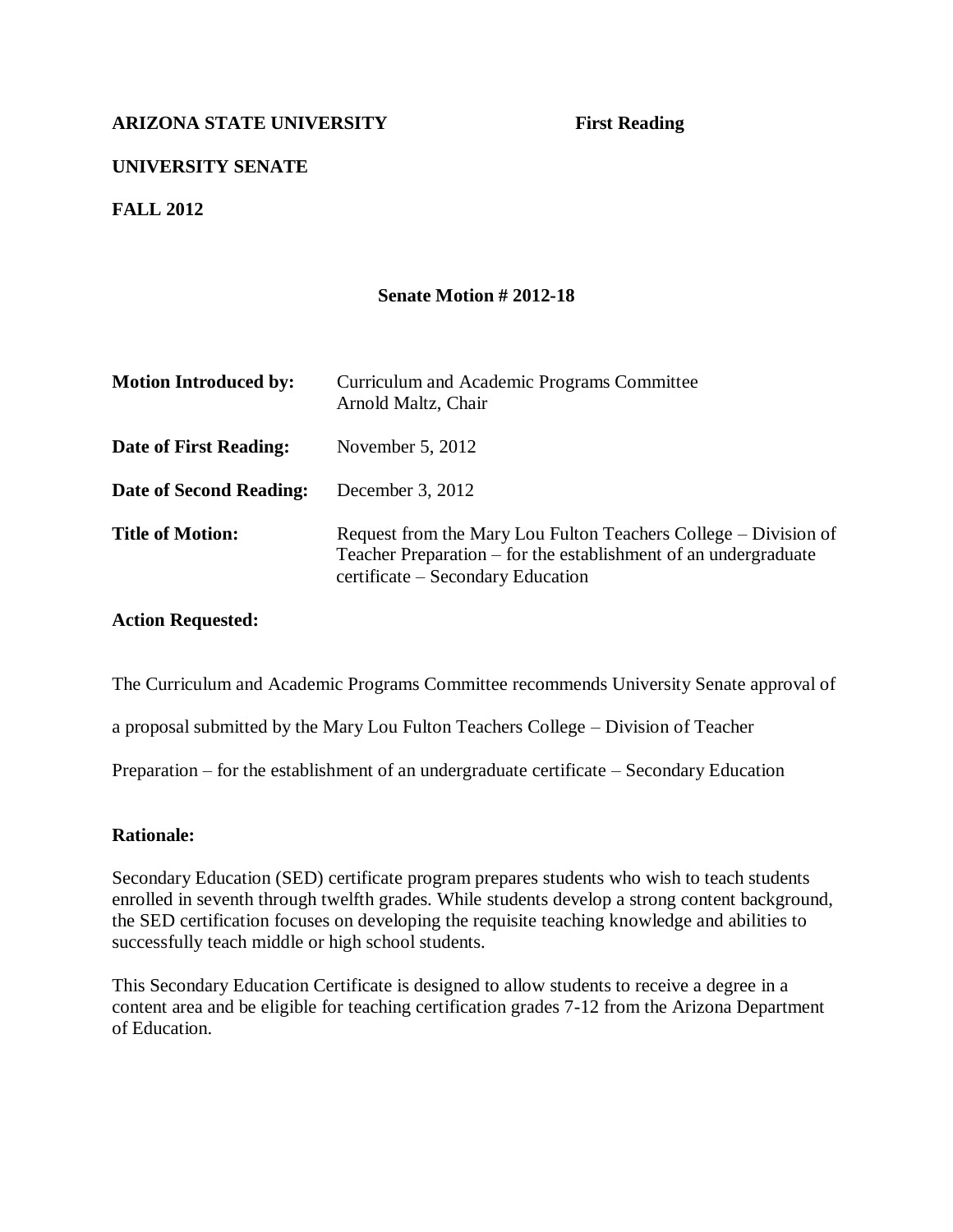# **UNIVERSITY SENATE**

**FALL 2012**

### **Senate Motion # 2012-18**

| <b>Motion Introduced by:</b> | Curriculum and Academic Programs Committee<br>Arnold Maltz, Chair                                                                                                       |
|------------------------------|-------------------------------------------------------------------------------------------------------------------------------------------------------------------------|
| Date of First Reading:       | November $5, 2012$                                                                                                                                                      |
| Date of Second Reading:      | December 3, 2012                                                                                                                                                        |
| <b>Title of Motion:</b>      | Request from the Mary Lou Fulton Teachers College – Division of<br>Teacher Preparation – for the establishment of an undergraduate<br>certificate – Secondary Education |

### **Action Requested:**

The Curriculum and Academic Programs Committee recommends University Senate approval of

a proposal submitted by the Mary Lou Fulton Teachers College – Division of Teacher

Preparation – for the establishment of an undergraduate certificate – Secondary Education

### **Rationale:**

Secondary Education (SED) certificate program prepares students who wish to teach students enrolled in seventh through twelfth grades. While students develop a strong content background, the SED certification focuses on developing the requisite teaching knowledge and abilities to successfully teach middle or high school students.

This Secondary Education Certificate is designed to allow students to receive a degree in a content area and be eligible for teaching certification grades 7-12 from the Arizona Department of Education.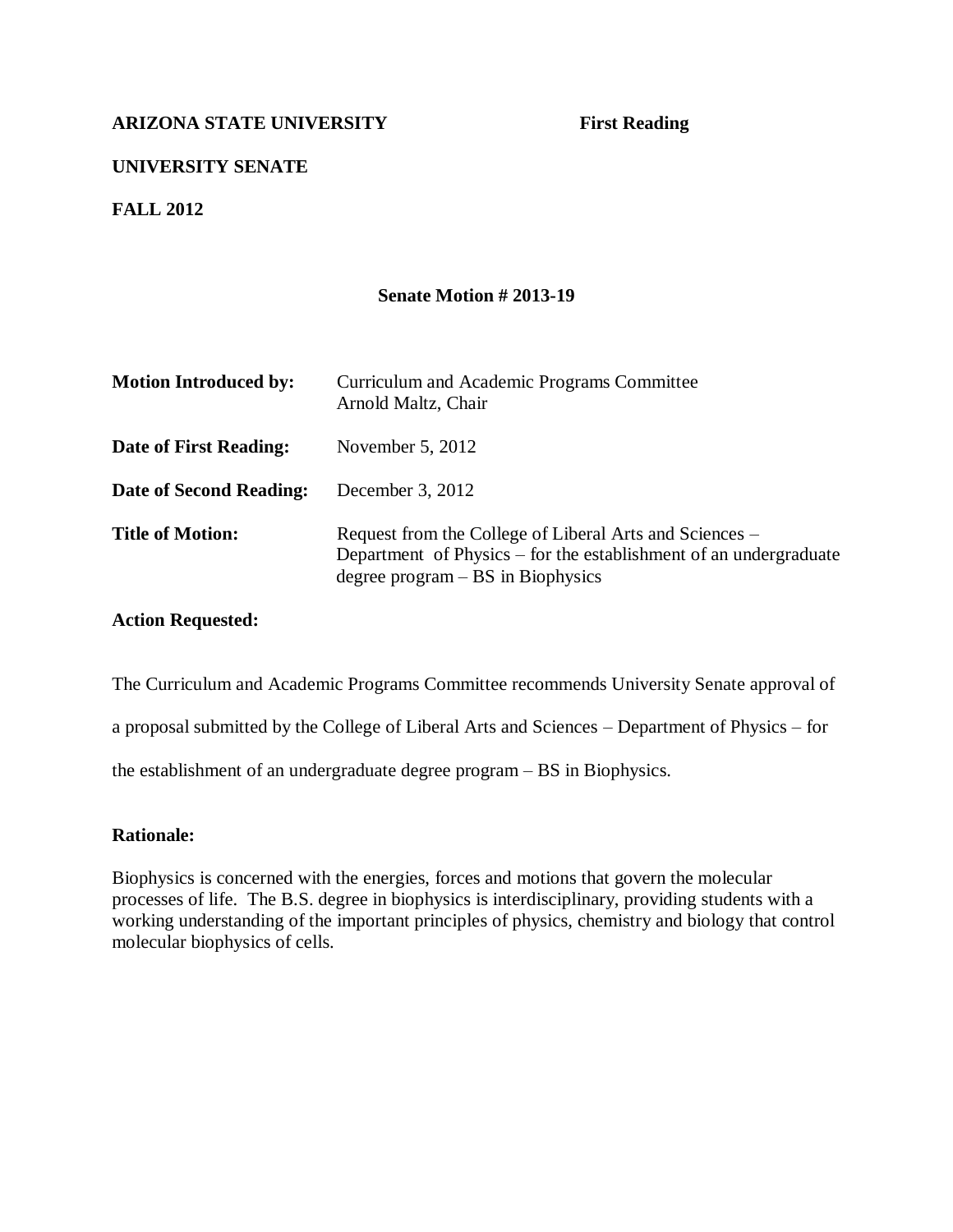# **UNIVERSITY SENATE**

**FALL 2012**

### **Senate Motion # 2013-19**

| <b>Motion Introduced by:</b> | Curriculum and Academic Programs Committee<br>Arnold Maltz, Chair                                                                                                   |
|------------------------------|---------------------------------------------------------------------------------------------------------------------------------------------------------------------|
| Date of First Reading:       | November $5, 2012$                                                                                                                                                  |
| Date of Second Reading:      | December 3, $2012$                                                                                                                                                  |
| <b>Title of Motion:</b>      | Request from the College of Liberal Arts and Sciences –<br>Department of Physics – for the establishment of an undergraduate<br>degree $program - BS$ in Biophysics |

### **Action Requested:**

The Curriculum and Academic Programs Committee recommends University Senate approval of

a proposal submitted by the College of Liberal Arts and Sciences – Department of Physics – for

the establishment of an undergraduate degree program – BS in Biophysics.

### **Rationale:**

Biophysics is concerned with the energies, forces and motions that govern the molecular processes of life. The B.S. degree in biophysics is interdisciplinary, providing students with a working understanding of the important principles of physics, chemistry and biology that control molecular biophysics of cells.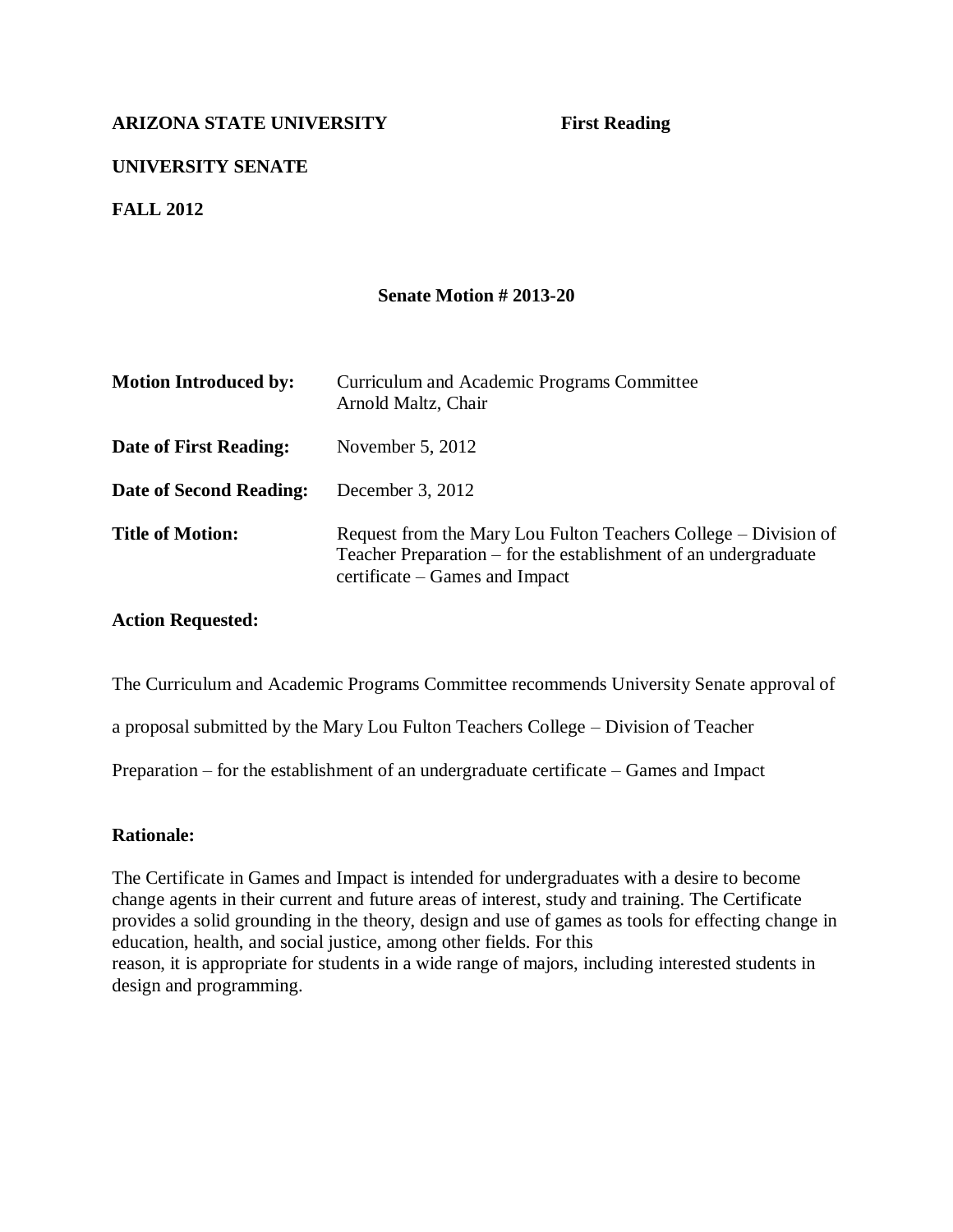# **UNIVERSITY SENATE**

**FALL 2012**

### **Senate Motion # 2013-20**

| <b>Motion Introduced by:</b>   | Curriculum and Academic Programs Committee<br>Arnold Maltz, Chair                                                                                                    |
|--------------------------------|----------------------------------------------------------------------------------------------------------------------------------------------------------------------|
| Date of First Reading:         | November $5, 2012$                                                                                                                                                   |
| <b>Date of Second Reading:</b> | December 3, 2012                                                                                                                                                     |
| <b>Title of Motion:</b>        | Request from the Mary Lou Fulton Teachers College – Division of<br>Teacher Preparation – for the establishment of an undergraduate<br>certificate – Games and Impact |

### **Action Requested:**

The Curriculum and Academic Programs Committee recommends University Senate approval of

a proposal submitted by the Mary Lou Fulton Teachers College – Division of Teacher

Preparation – for the establishment of an undergraduate certificate – Games and Impact

### **Rationale:**

The Certificate in Games and Impact is intended for undergraduates with a desire to become change agents in their current and future areas of interest, study and training. The Certificate provides a solid grounding in the theory, design and use of games as tools for effecting change in education, health, and social justice, among other fields. For this reason, it is appropriate for students in a wide range of majors, including interested students in design and programming.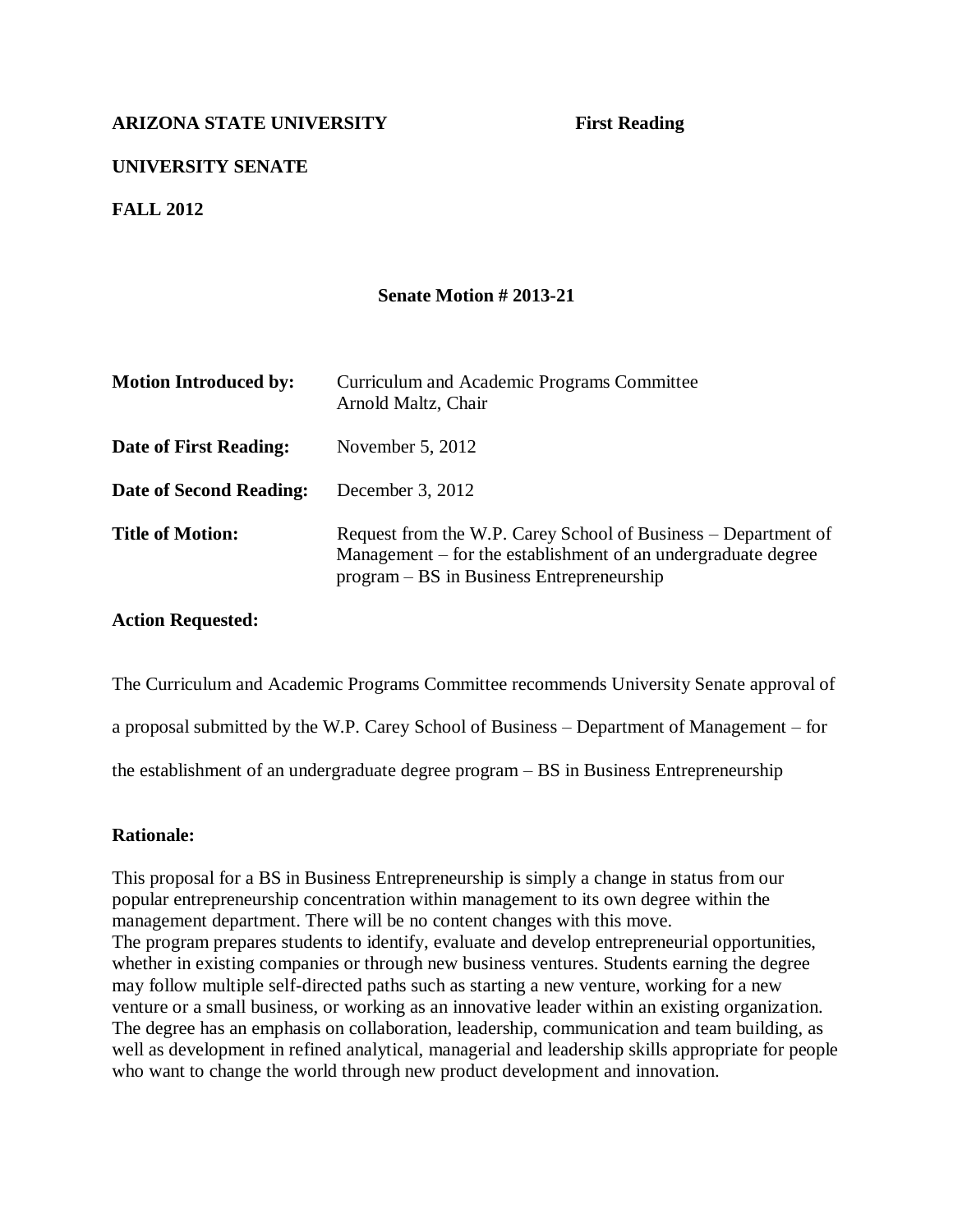# **UNIVERSITY SENATE**

**FALL 2012**

### **Senate Motion # 2013-21**

| <b>Motion Introduced by:</b>   | Curriculum and Academic Programs Committee<br>Arnold Maltz, Chair                                                                                                            |
|--------------------------------|------------------------------------------------------------------------------------------------------------------------------------------------------------------------------|
| Date of First Reading:         | November $5, 2012$                                                                                                                                                           |
| <b>Date of Second Reading:</b> | December 3, 2012                                                                                                                                                             |
| <b>Title of Motion:</b>        | Request from the W.P. Carey School of Business – Department of<br>Management – for the establishment of an undergraduate degree<br>program – BS in Business Entrepreneurship |

### **Action Requested:**

The Curriculum and Academic Programs Committee recommends University Senate approval of

a proposal submitted by the W.P. Carey School of Business – Department of Management – for

the establishment of an undergraduate degree program – BS in Business Entrepreneurship

### **Rationale:**

This proposal for a BS in Business Entrepreneurship is simply a change in status from our popular entrepreneurship concentration within management to its own degree within the management department. There will be no content changes with this move. The program prepares students to identify, evaluate and develop entrepreneurial opportunities, whether in existing companies or through new business ventures. Students earning the degree may follow multiple self-directed paths such as starting a new venture, working for a new venture or a small business, or working as an innovative leader within an existing organization. The degree has an emphasis on collaboration, leadership, communication and team building, as well as development in refined analytical, managerial and leadership skills appropriate for people who want to change the world through new product development and innovation.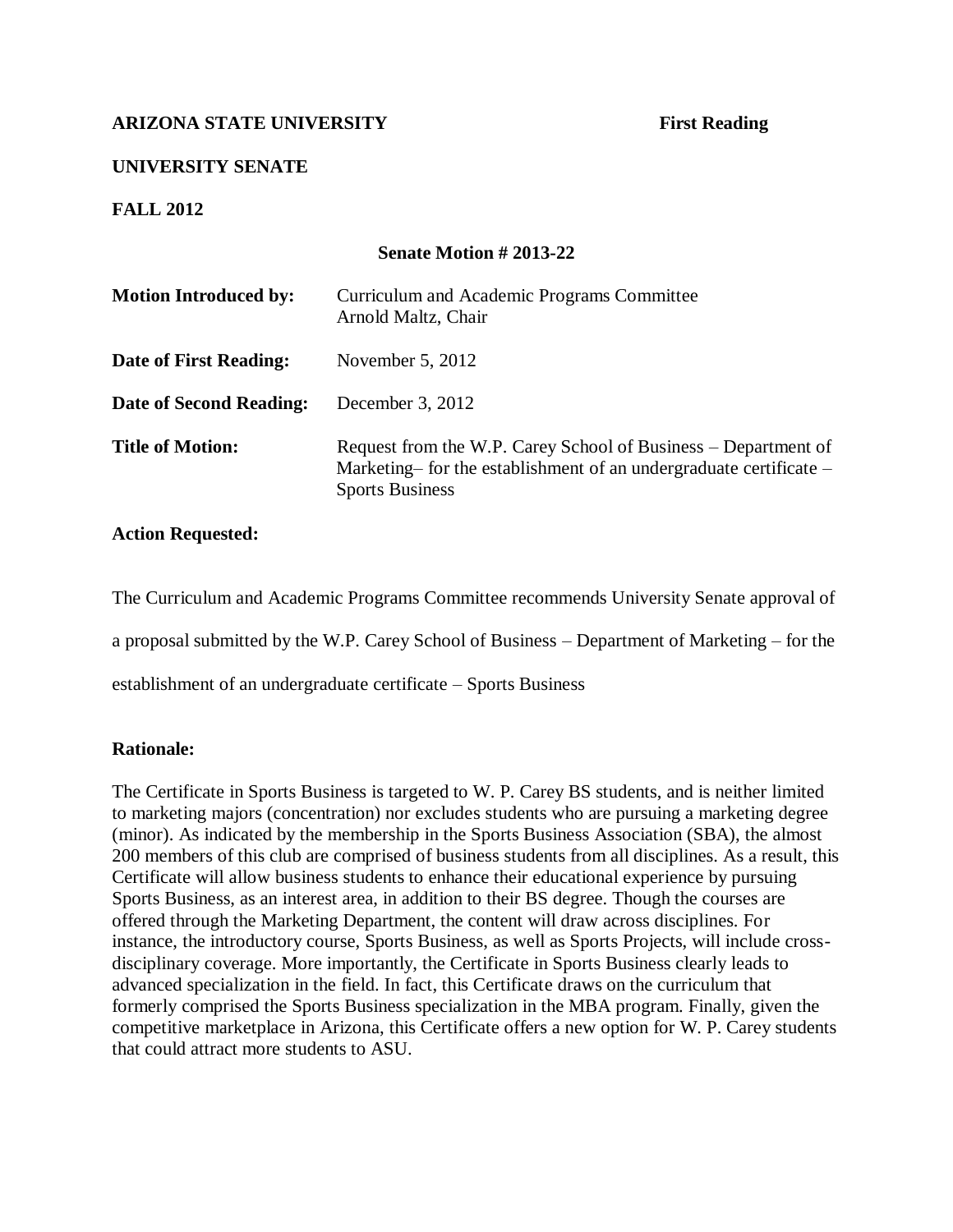# **UNIVERSITY SENATE**

**FALL 2012**

# **Senate Motion # 2013-22**

| <b>Motion Introduced by:</b> | Curriculum and Academic Programs Committee<br>Arnold Maltz, Chair                                                                                              |
|------------------------------|----------------------------------------------------------------------------------------------------------------------------------------------------------------|
| Date of First Reading:       | November $5, 2012$                                                                                                                                             |
| Date of Second Reading:      | December 3, 2012                                                                                                                                               |
| <b>Title of Motion:</b>      | Request from the W.P. Carey School of Business – Department of<br>Marketing– for the establishment of an undergraduate certificate –<br><b>Sports Business</b> |

### **Action Requested:**

The Curriculum and Academic Programs Committee recommends University Senate approval of

a proposal submitted by the W.P. Carey School of Business – Department of Marketing – for the

establishment of an undergraduate certificate – Sports Business

### **Rationale:**

The Certificate in Sports Business is targeted to W. P. Carey BS students, and is neither limited to marketing majors (concentration) nor excludes students who are pursuing a marketing degree (minor). As indicated by the membership in the Sports Business Association (SBA), the almost 200 members of this club are comprised of business students from all disciplines. As a result, this Certificate will allow business students to enhance their educational experience by pursuing Sports Business, as an interest area, in addition to their BS degree. Though the courses are offered through the Marketing Department, the content will draw across disciplines. For instance, the introductory course, Sports Business, as well as Sports Projects, will include crossdisciplinary coverage. More importantly, the Certificate in Sports Business clearly leads to advanced specialization in the field. In fact, this Certificate draws on the curriculum that formerly comprised the Sports Business specialization in the MBA program. Finally, given the competitive marketplace in Arizona, this Certificate offers a new option for W. P. Carey students that could attract more students to ASU.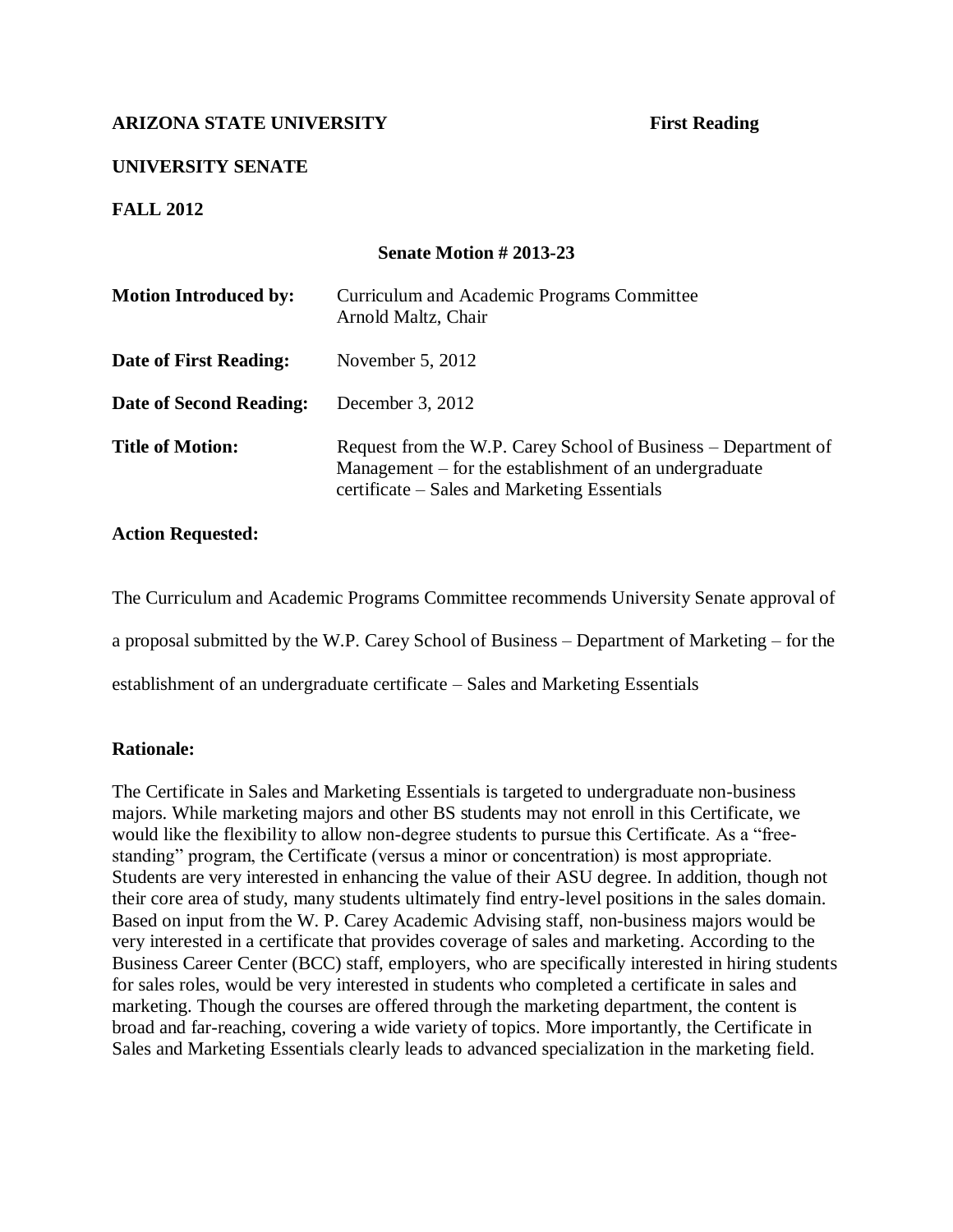# **UNIVERSITY SENATE**

**FALL 2012**

# **Senate Motion # 2013-23**

| <b>Motion Introduced by:</b> | Curriculum and Academic Programs Committee<br>Arnold Maltz, Chair                                                                                                        |
|------------------------------|--------------------------------------------------------------------------------------------------------------------------------------------------------------------------|
| Date of First Reading:       | November 5, 2012                                                                                                                                                         |
| Date of Second Reading:      | December 3, 2012                                                                                                                                                         |
| <b>Title of Motion:</b>      | Request from the W.P. Carey School of Business – Department of<br>Management – for the establishment of an undergraduate<br>certificate – Sales and Marketing Essentials |

### **Action Requested:**

The Curriculum and Academic Programs Committee recommends University Senate approval of

a proposal submitted by the W.P. Carey School of Business – Department of Marketing – for the

establishment of an undergraduate certificate – Sales and Marketing Essentials

### **Rationale:**

The Certificate in Sales and Marketing Essentials is targeted to undergraduate non-business majors. While marketing majors and other BS students may not enroll in this Certificate, we would like the flexibility to allow non-degree students to pursue this Certificate. As a "freestanding" program, the Certificate (versus a minor or concentration) is most appropriate. Students are very interested in enhancing the value of their ASU degree. In addition, though not their core area of study, many students ultimately find entry-level positions in the sales domain. Based on input from the W. P. Carey Academic Advising staff, non-business majors would be very interested in a certificate that provides coverage of sales and marketing. According to the Business Career Center (BCC) staff, employers, who are specifically interested in hiring students for sales roles, would be very interested in students who completed a certificate in sales and marketing. Though the courses are offered through the marketing department, the content is broad and far-reaching, covering a wide variety of topics. More importantly, the Certificate in Sales and Marketing Essentials clearly leads to advanced specialization in the marketing field.